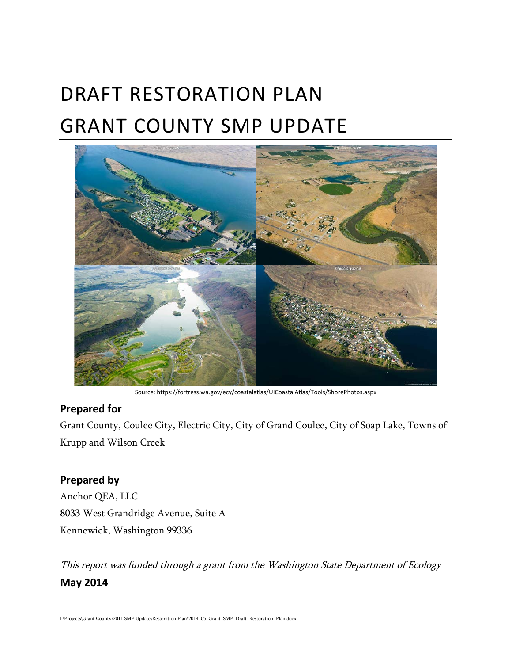# DRAFT RESTORATION PLAN GRANT COUNTY SMP UPDATE



Source: https://fortress.wa.gov/ecy/coastalatlas/UICoastalAtlas/Tools/ShorePhotos.aspx

#### **Prepared for**

Grant County, Coulee City, Electric City, City of Grand Coulee, City of Soap Lake, Towns of Krupp and Wilson Creek

#### **Prepared by**

Anchor QEA, LLC 8033 West Grandridge Avenue, Suite A Kennewick, Washington 99336

This report was funded through a grant from the Washington State Department of Ecology **May 2014**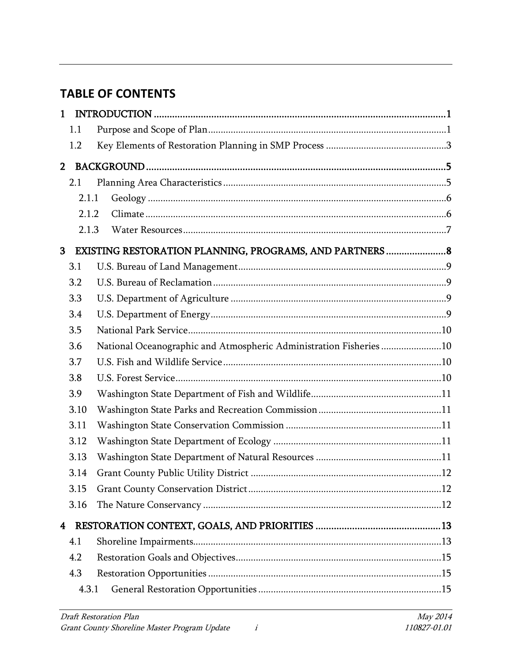# **TABLE OF CONTENTS**

| $\mathbf{1}$   |       |                                                                    |  |
|----------------|-------|--------------------------------------------------------------------|--|
|                | 1.1   |                                                                    |  |
|                | 1.2   |                                                                    |  |
| 2 <sup>7</sup> |       |                                                                    |  |
|                | 2.1   |                                                                    |  |
|                | 2.1.1 |                                                                    |  |
|                | 2.1.2 |                                                                    |  |
|                | 2.1.3 |                                                                    |  |
| 3              |       |                                                                    |  |
|                | 3.1   |                                                                    |  |
|                | 3.2   |                                                                    |  |
|                | 3.3   |                                                                    |  |
|                | 3.4   |                                                                    |  |
|                | 3.5   |                                                                    |  |
|                | 3.6   | National Oceanographic and Atmospheric Administration Fisheries 10 |  |
|                | 3.7   |                                                                    |  |
|                | 3.8   |                                                                    |  |
|                | 3.9   |                                                                    |  |
|                | 3.10  |                                                                    |  |
|                | 3.11  |                                                                    |  |
|                | 3.12  |                                                                    |  |
|                | 3.13  |                                                                    |  |
|                | 3.14  |                                                                    |  |
|                | 3.15  |                                                                    |  |
|                | 3.16  |                                                                    |  |
| 4              |       |                                                                    |  |
|                | 4.1   |                                                                    |  |
|                | 4.2   |                                                                    |  |
|                | 4.3   |                                                                    |  |
|                | 4.3.1 |                                                                    |  |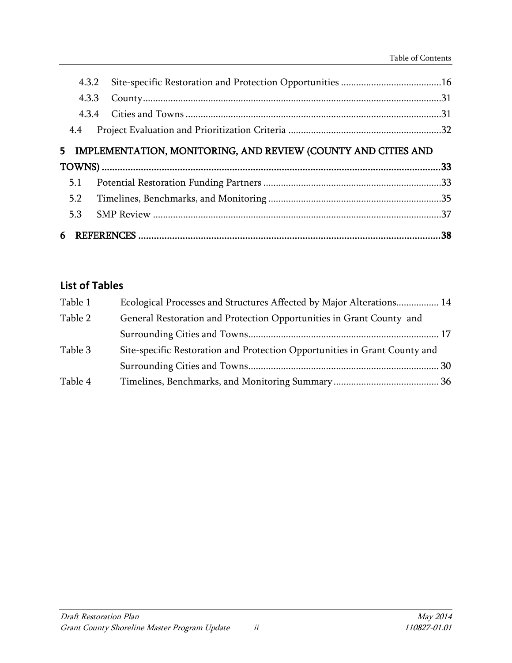| 4.3.2 |                                                               |  |
|-------|---------------------------------------------------------------|--|
| 4.3.3 |                                                               |  |
| 434   |                                                               |  |
| 4.4   |                                                               |  |
| 5.    | IMPLEMENTATION, MONITORING, AND REVIEW (COUNTY AND CITIES AND |  |
|       |                                                               |  |
|       |                                                               |  |
| 5.1   |                                                               |  |
| 5.2   |                                                               |  |
| 5.3   |                                                               |  |

# **List of Tables**

| Table 1 | Ecological Processes and Structures Affected by Major Alterations 14       |  |
|---------|----------------------------------------------------------------------------|--|
| Table 2 | General Restoration and Protection Opportunities in Grant County and       |  |
|         |                                                                            |  |
| Table 3 | Site-specific Restoration and Protection Opportunities in Grant County and |  |
|         |                                                                            |  |
| Table 4 |                                                                            |  |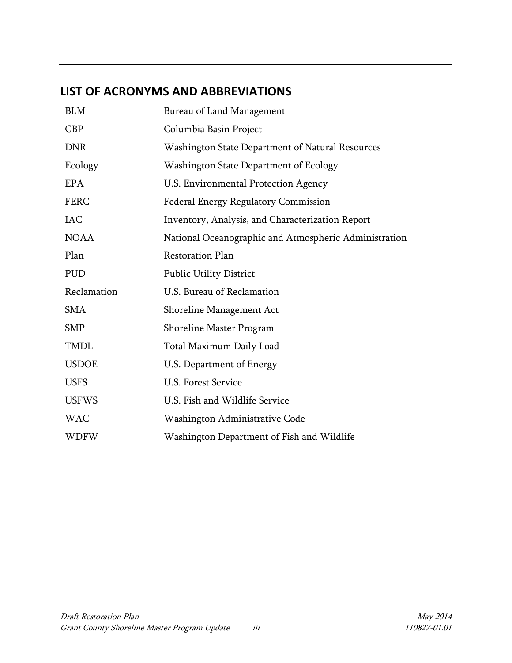# **LIST OF ACRONYMS AND ABBREVIATIONS**

| <b>BLM</b>   | Bureau of Land Management                             |
|--------------|-------------------------------------------------------|
| <b>CBP</b>   | Columbia Basin Project                                |
| <b>DNR</b>   | Washington State Department of Natural Resources      |
| Ecology      | Washington State Department of Ecology                |
| <b>EPA</b>   | U.S. Environmental Protection Agency                  |
| <b>FERC</b>  | Federal Energy Regulatory Commission                  |
| <b>IAC</b>   | Inventory, Analysis, and Characterization Report      |
| <b>NOAA</b>  | National Oceanographic and Atmospheric Administration |
| Plan         | <b>Restoration Plan</b>                               |
| <b>PUD</b>   | <b>Public Utility District</b>                        |
| Reclamation  | U.S. Bureau of Reclamation                            |
| <b>SMA</b>   | Shoreline Management Act                              |
| <b>SMP</b>   | Shoreline Master Program                              |
| <b>TMDL</b>  | Total Maximum Daily Load                              |
| <b>USDOE</b> | U.S. Department of Energy                             |
| <b>USFS</b>  | <b>U.S. Forest Service</b>                            |
| <b>USFWS</b> | U.S. Fish and Wildlife Service                        |
| <b>WAC</b>   | Washington Administrative Code                        |
| WDFW         | Washington Department of Fish and Wildlife            |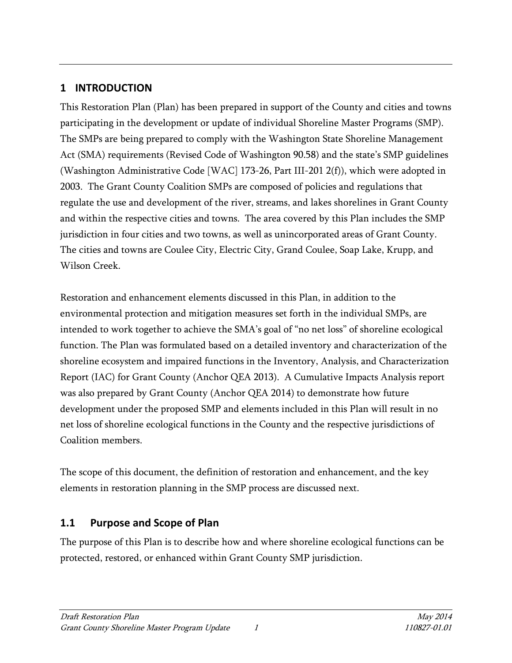# <span id="page-4-0"></span>**1 INTRODUCTION**

This Restoration Plan (Plan) has been prepared in support of the County and cities and towns participating in the development or update of individual Shoreline Master Programs (SMP). The SMPs are being prepared to comply with the Washington State Shoreline Management Act (SMA) requirements (Revised Code of Washington 90.58) and the state's SMP guidelines (Washington Administrative Code [WAC] 173-26, Part III-201 2(f)), which were adopted in 2003. The Grant County Coalition SMPs are composed of policies and regulations that regulate the use and development of the river, streams, and lakes shorelines in Grant County and within the respective cities and towns. The area covered by this Plan includes the SMP jurisdiction in four cities and two towns, as well as unincorporated areas of Grant County. The cities and towns are Coulee City, Electric City, Grand Coulee, Soap Lake, Krupp, and Wilson Creek.

Restoration and enhancement elements discussed in this Plan, in addition to the environmental protection and mitigation measures set forth in the individual SMPs, are intended to work together to achieve the SMA's goal of "no net loss" of shoreline ecological function. The Plan was formulated based on a detailed inventory and characterization of the shoreline ecosystem and impaired functions in the Inventory, Analysis, and Characterization Report (IAC) for Grant County (Anchor QEA 2013). A Cumulative Impacts Analysis report was also prepared by Grant County (Anchor QEA 2014) to demonstrate how future development under the proposed SMP and elements included in this Plan will result in no net loss of shoreline ecological functions in the County and the respective jurisdictions of Coalition members.

The scope of this document, the definition of restoration and enhancement, and the key elements in restoration planning in the SMP process are discussed next.

# <span id="page-4-1"></span>**1.1 Purpose and Scope of Plan**

The purpose of this Plan is to describe how and where shoreline ecological functions can be protected, restored, or enhanced within Grant County SMP jurisdiction.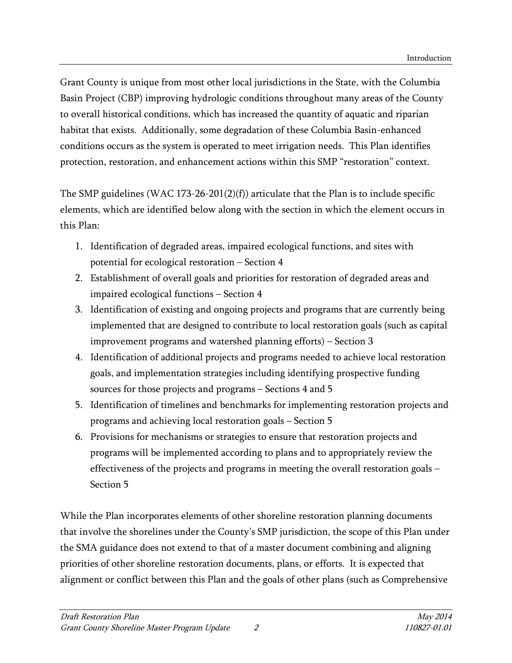Grant County is unique from most other local jurisdictions in the State, with the Columbia Basin Project (CBP) improving hydrologic conditions throughout many areas of the County to overall historical conditions, which has increased the quantity of aquatic and riparian habitat that exists. Additionally, some degradation of these Columbia Basin-enhanced conditions occurs as the system is operated to meet irrigation needs. This Plan identifies protection, restoration, and enhancement actions within this SMP "restoration" context.

The SMP guidelines (WAC 173-26-201(2)(f)) articulate that the Plan is to include specific elements, which are identified below along with the section in which the element occurs in this Plan:

- 1. Identification of degraded areas, impaired ecological functions, and sites with potential for ecological restoration – Section 4
- 2. Establishment of overall goals and priorities for restoration of degraded areas and impaired ecological functions – Section 4
- 3. Identification of existing and ongoing projects and programs that are currently being implemented that are designed to contribute to local restoration goals (such as capital improvement programs and watershed planning efforts) – Section 3
- 4. Identification of additional projects and programs needed to achieve local restoration goals, and implementation strategies including identifying prospective funding sources for those projects and programs – Sections 4 and 5
- 5. Identification of timelines and benchmarks for implementing restoration projects and programs and achieving local restoration goals – Section 5
- 6. Provisions for mechanisms or strategies to ensure that restoration projects and programs will be implemented according to plans and to appropriately review the effectiveness of the projects and programs in meeting the overall restoration goals – Section 5

While the Plan incorporates elements of other shoreline restoration planning documents that involve the shorelines under the County's SMP jurisdiction, the scope of this Plan under the SMA guidance does not extend to that of a master document combining and aligning priorities of other shoreline restoration documents, plans, or efforts. It is expected that alignment or conflict between this Plan and the goals of other plans (such as Comprehensive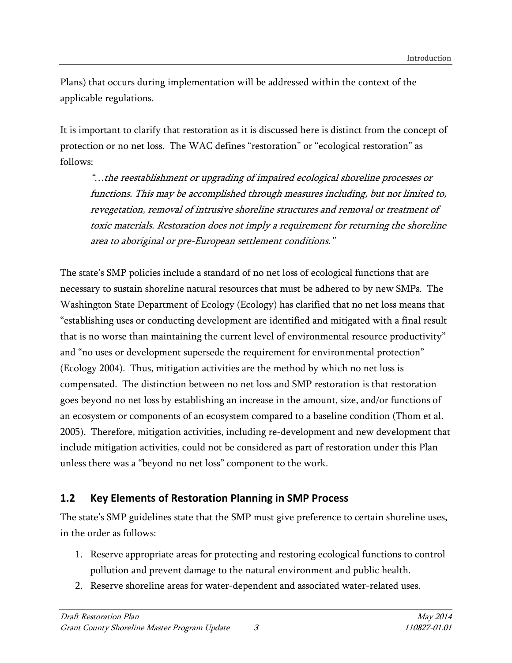Plans) that occurs during implementation will be addressed within the context of the applicable regulations.

It is important to clarify that restoration as it is discussed here is distinct from the concept of protection or no net loss. The WAC defines "restoration" or "ecological restoration" as follows:

"…the reestablishment or upgrading of impaired ecological shoreline processes or functions. This may be accomplished through measures including, but not limited to, revegetation, removal of intrusive shoreline structures and removal or treatment of toxic materials. Restoration does not imply a requirement for returning the shoreline area to aboriginal or pre-European settlement conditions."

The state's SMP policies include a standard of no net loss of ecological functions that are necessary to sustain shoreline natural resources that must be adhered to by new SMPs. The Washington State Department of Ecology (Ecology) has clarified that no net loss means that "establishing uses or conducting development are identified and mitigated with a final result that is no worse than maintaining the current level of environmental resource productivity" and "no uses or development supersede the requirement for environmental protection" (Ecology 2004). Thus, mitigation activities are the method by which no net loss is compensated. The distinction between no net loss and SMP restoration is that restoration goes beyond no net loss by establishing an increase in the amount, size, and/or functions of an ecosystem or components of an ecosystem compared to a baseline condition (Thom et al. 2005). Therefore, mitigation activities, including re-development and new development that include mitigation activities, could not be considered as part of restoration under this Plan unless there was a "beyond no net loss" component to the work.

## <span id="page-6-0"></span>**1.2 Key Elements of Restoration Planning in SMP Process**

The state's SMP guidelines state that the SMP must give preference to certain shoreline uses, in the order as follows:

- 1. Reserve appropriate areas for protecting and restoring ecological functions to control pollution and prevent damage to the natural environment and public health.
- 2. Reserve shoreline areas for water-dependent and associated water-related uses.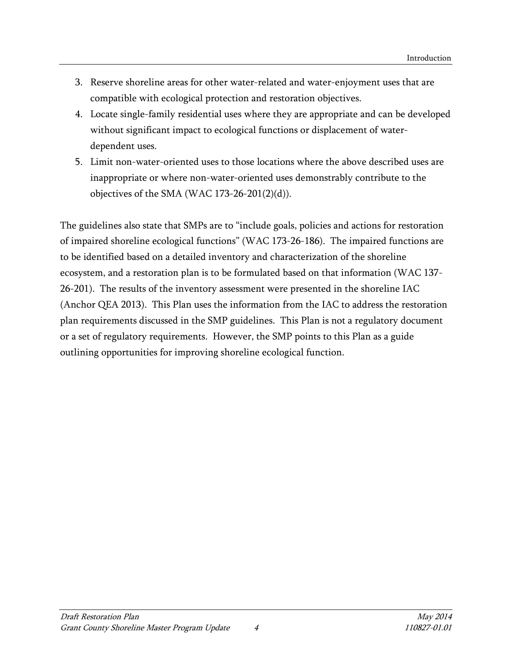- 3. Reserve shoreline areas for other water-related and water-enjoyment uses that are compatible with ecological protection and restoration objectives.
- 4. Locate single-family residential uses where they are appropriate and can be developed without significant impact to ecological functions or displacement of waterdependent uses.
- 5. Limit non-water-oriented uses to those locations where the above described uses are inappropriate or where non-water-oriented uses demonstrably contribute to the objectives of the SMA (WAC 173-26-201 $(2)(d)$ ).

The guidelines also state that SMPs are to "include goals, policies and actions for restoration of impaired shoreline ecological functions" (WAC 173-26-186). The impaired functions are to be identified based on a detailed inventory and characterization of the shoreline ecosystem, and a restoration plan is to be formulated based on that information (WAC 137- 26-201). The results of the inventory assessment were presented in the shoreline IAC (Anchor QEA 2013). This Plan uses the information from the IAC to address the restoration plan requirements discussed in the SMP guidelines. This Plan is not a regulatory document or a set of regulatory requirements. However, the SMP points to this Plan as a guide outlining opportunities for improving shoreline ecological function.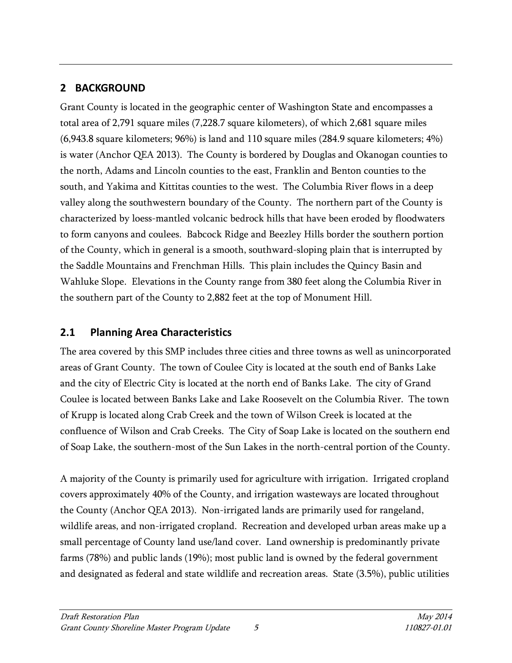# <span id="page-8-0"></span>**2 BACKGROUND**

Grant County is located in the geographic center of Washington State and encompasses a total area of 2,791 square miles (7,228.7 square kilometers), of which 2,681 square miles (6,943.8 square kilometers; 96%) is land and 110 square miles (284.9 square kilometers; 4%) is water (Anchor QEA 2013). The County is bordered by Douglas and Okanogan counties to the north, Adams and Lincoln counties to the east, Franklin and Benton counties to the south, and Yakima and Kittitas counties to the west. The Columbia River flows in a deep valley along the southwestern boundary of the County. The northern part of the County is characterized by loess-mantled volcanic bedrock hills that have been eroded by floodwaters to form canyons and coulees. Babcock Ridge and Beezley Hills border the southern portion of the County, which in general is a smooth, southward-sloping plain that is interrupted by the Saddle Mountains and Frenchman Hills. This plain includes the Quincy Basin and Wahluke Slope. Elevations in the County range from 380 feet along the Columbia River in the southern part of the County to 2,882 feet at the top of Monument Hill.

# <span id="page-8-1"></span>**2.1 Planning Area Characteristics**

The area covered by this SMP includes three cities and three towns as well as unincorporated areas of Grant County. The town of Coulee City is located at the south end of Banks Lake and the city of Electric City is located at the north end of Banks Lake. The city of Grand Coulee is located between Banks Lake and Lake Roosevelt on the Columbia River. The town of Krupp is located along Crab Creek and the town of Wilson Creek is located at the confluence of Wilson and Crab Creeks. The City of Soap Lake is located on the southern end of Soap Lake, the southern-most of the Sun Lakes in the north-central portion of the County.

A majority of the County is primarily used for agriculture with irrigation. Irrigated cropland covers approximately 40% of the County, and irrigation wasteways are located throughout the County (Anchor QEA 2013). Non-irrigated lands are primarily used for rangeland, wildlife areas, and non-irrigated cropland. Recreation and developed urban areas make up a small percentage of County land use/land cover. Land ownership is predominantly private farms (78%) and public lands (19%); most public land is owned by the federal government and designated as federal and state wildlife and recreation areas. State (3.5%), public utilities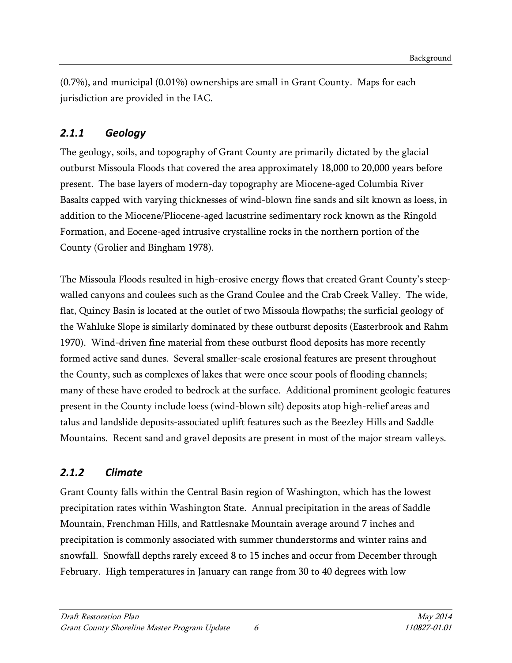(0.7%), and municipal (0.01%) ownerships are small in Grant County. Maps for each jurisdiction are provided in the IAC.

# <span id="page-9-0"></span>*2.1.1 Geology*

The geology, soils, and topography of Grant County are primarily dictated by the glacial outburst Missoula Floods that covered the area approximately 18,000 to 20,000 years before present. The base layers of modern-day topography are Miocene-aged Columbia River Basalts capped with varying thicknesses of wind-blown fine sands and silt known as loess, in addition to the Miocene/Pliocene-aged lacustrine sedimentary rock known as the Ringold Formation, and Eocene-aged intrusive crystalline rocks in the northern portion of the County (Grolier and Bingham 1978).

The Missoula Floods resulted in high-erosive energy flows that created Grant County's steepwalled canyons and coulees such as the Grand Coulee and the Crab Creek Valley. The wide, flat, Quincy Basin is located at the outlet of two Missoula flowpaths; the surficial geology of the Wahluke Slope is similarly dominated by these outburst deposits (Easterbrook and Rahm 1970). Wind-driven fine material from these outburst flood deposits has more recently formed active sand dunes. Several smaller-scale erosional features are present throughout the County, such as complexes of lakes that were once scour pools of flooding channels; many of these have eroded to bedrock at the surface. Additional prominent geologic features present in the County include loess (wind-blown silt) deposits atop high-relief areas and talus and landslide deposits-associated uplift features such as the Beezley Hills and Saddle Mountains. Recent sand and gravel deposits are present in most of the major stream valleys.

# <span id="page-9-1"></span>*2.1.2 Climate*

Grant County falls within the Central Basin region of Washington, which has the lowest precipitation rates within Washington State. Annual precipitation in the areas of Saddle Mountain, Frenchman Hills, and Rattlesnake Mountain average around 7 inches and precipitation is commonly associated with summer thunderstorms and winter rains and snowfall. Snowfall depths rarely exceed 8 to 15 inches and occur from December through February. High temperatures in January can range from 30 to 40 degrees with low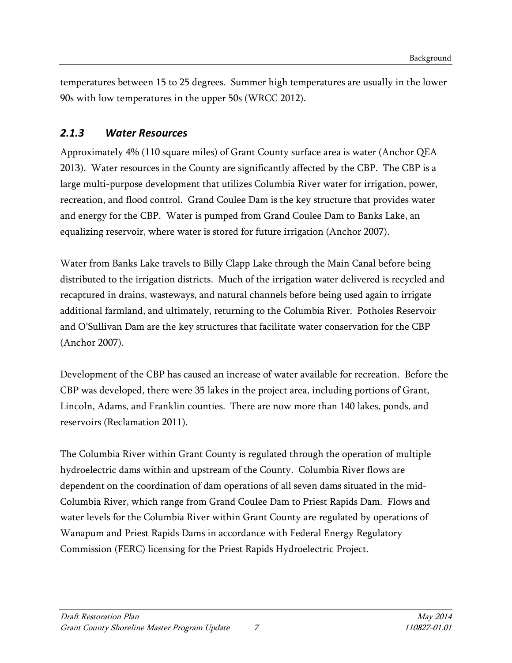temperatures between 15 to 25 degrees. Summer high temperatures are usually in the lower 90s with low temperatures in the upper 50s (WRCC 2012).

## <span id="page-10-0"></span>*2.1.3 Water Resources*

Approximately 4% (110 square miles) of Grant County surface area is water (Anchor QEA 2013). Water resources in the County are significantly affected by the CBP. The CBP is a large multi-purpose development that utilizes Columbia River water for irrigation, power, recreation, and flood control. Grand Coulee Dam is the key structure that provides water and energy for the CBP. Water is pumped from Grand Coulee Dam to Banks Lake, an equalizing reservoir, where water is stored for future irrigation (Anchor 2007).

Water from Banks Lake travels to Billy Clapp Lake through the Main Canal before being distributed to the irrigation districts. Much of the irrigation water delivered is recycled and recaptured in drains, wasteways, and natural channels before being used again to irrigate additional farmland, and ultimately, returning to the Columbia River. Potholes Reservoir and O'Sullivan Dam are the key structures that facilitate water conservation for the CBP (Anchor 2007).

Development of the CBP has caused an increase of water available for recreation. Before the CBP was developed, there were 35 lakes in the project area, including portions of Grant, Lincoln, Adams, and Franklin counties. There are now more than 140 lakes, ponds, and reservoirs (Reclamation 2011).

The Columbia River within Grant County is regulated through the operation of multiple hydroelectric dams within and upstream of the County. Columbia River flows are dependent on the coordination of dam operations of all seven dams situated in the mid-Columbia River, which range from Grand Coulee Dam to Priest Rapids Dam. Flows and water levels for the Columbia River within Grant County are regulated by operations of Wanapum and Priest Rapids Dams in accordance with Federal Energy Regulatory Commission (FERC) licensing for the Priest Rapids Hydroelectric Project.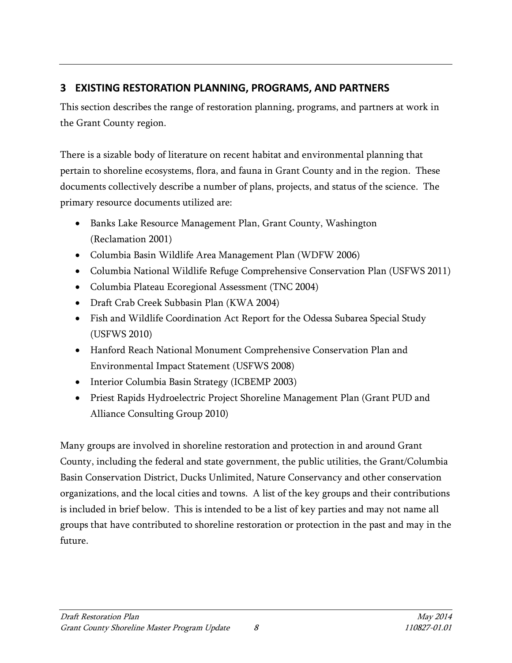# <span id="page-11-0"></span>**3 EXISTING RESTORATION PLANNING, PROGRAMS, AND PARTNERS**

This section describes the range of restoration planning, programs, and partners at work in the Grant County region.

There is a sizable body of literature on recent habitat and environmental planning that pertain to shoreline ecosystems, flora, and fauna in Grant County and in the region. These documents collectively describe a number of plans, projects, and status of the science. The primary resource documents utilized are:

- Banks Lake Resource Management Plan, Grant County, Washington (Reclamation 2001)
- Columbia Basin Wildlife Area Management Plan (WDFW 2006)
- Columbia National Wildlife Refuge Comprehensive Conservation Plan (USFWS 2011)
- Columbia Plateau Ecoregional Assessment (TNC 2004)
- Draft Crab Creek Subbasin Plan (KWA 2004)
- Fish and Wildlife Coordination Act Report for the Odessa Subarea Special Study (USFWS 2010)
- Hanford Reach National Monument Comprehensive Conservation Plan and Environmental Impact Statement (USFWS 2008)
- Interior Columbia Basin Strategy (ICBEMP 2003)
- Priest Rapids Hydroelectric Project Shoreline Management Plan (Grant PUD and Alliance Consulting Group 2010)

Many groups are involved in shoreline restoration and protection in and around Grant County, including the federal and state government, the public utilities, the Grant/Columbia Basin Conservation District, Ducks Unlimited, Nature Conservancy and other conservation organizations, and the local cities and towns. A list of the key groups and their contributions is included in brief below. This is intended to be a list of key parties and may not name all groups that have contributed to shoreline restoration or protection in the past and may in the future.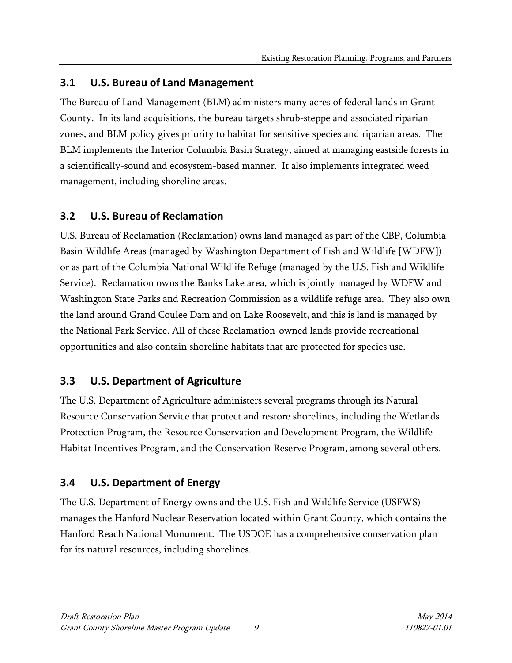#### <span id="page-12-0"></span>**3.1 U.S. Bureau of Land Management**

The Bureau of Land Management (BLM) administers many acres of federal lands in Grant County. In its land acquisitions, the bureau targets shrub-steppe and associated riparian zones, and BLM policy gives priority to habitat for sensitive species and riparian areas. The BLM implements the Interior Columbia Basin Strategy, aimed at managing eastside forests in a scientifically-sound and ecosystem-based manner. It also implements integrated weed management, including shoreline areas.

## <span id="page-12-1"></span>**3.2 U.S. Bureau of Reclamation**

U.S. Bureau of Reclamation (Reclamation) owns land managed as part of the CBP, Columbia Basin Wildlife Areas (managed by Washington Department of Fish and Wildlife [WDFW]) or as part of the Columbia National Wildlife Refuge (managed by the U.S. Fish and Wildlife Service). Reclamation owns the Banks Lake area, which is jointly managed by WDFW and Washington State Parks and Recreation Commission as a wildlife refuge area. They also own the land around Grand Coulee Dam and on Lake Roosevelt, and this is land is managed by the National Park Service. All of these Reclamation-owned lands provide recreational opportunities and also contain shoreline habitats that are protected for species use.

# <span id="page-12-2"></span>**3.3 U.S. Department of Agriculture**

The U.S. Department of Agriculture administers several programs through its Natural Resource Conservation Service that protect and restore shorelines, including the Wetlands Protection Program, the Resource Conservation and Development Program, the Wildlife Habitat Incentives Program, and the Conservation Reserve Program, among several others.

# <span id="page-12-3"></span>**3.4 U.S. Department of Energy**

The U.S. Department of Energy owns and the U.S. Fish and Wildlife Service (USFWS) manages the Hanford Nuclear Reservation located within Grant County, which contains the Hanford Reach National Monument. The USDOE has a comprehensive conservation plan for its natural resources, including shorelines.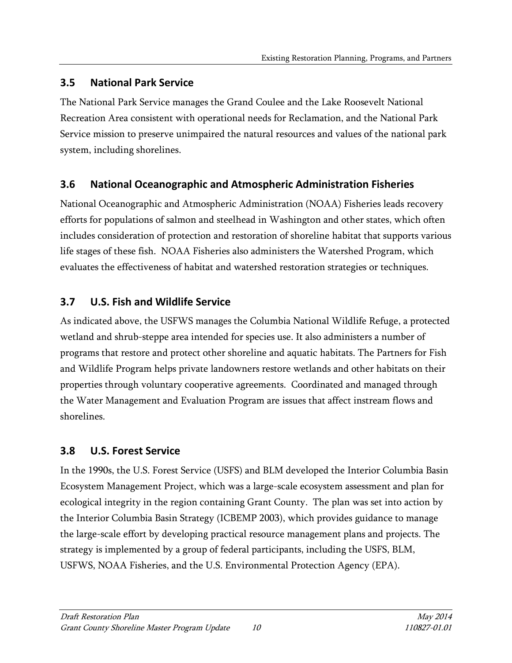# <span id="page-13-0"></span>**3.5 National Park Service**

The National Park Service manages the Grand Coulee and the Lake Roosevelt National Recreation Area consistent with operational needs for Reclamation, and the National Park Service mission to preserve unimpaired the natural resources and values of the national park system, including shorelines.

# <span id="page-13-1"></span>**3.6 National Oceanographic and Atmospheric Administration Fisheries**

National Oceanographic and Atmospheric Administration (NOAA) Fisheries leads recovery efforts for populations of salmon and steelhead in Washington and other states, which often includes consideration of protection and restoration of shoreline habitat that supports various life stages of these fish. NOAA Fisheries also administers the Watershed Program, which evaluates the effectiveness of habitat and watershed restoration strategies or techniques.

# <span id="page-13-2"></span>**3.7 U.S. Fish and Wildlife Service**

As indicated above, the USFWS manages the Columbia National Wildlife Refuge, a protected wetland and shrub-steppe area intended for species use. It also administers a number of programs that restore and protect other shoreline and aquatic habitats. The Partners for Fish and Wildlife Program helps private landowners restore wetlands and other habitats on their properties through voluntary cooperative agreements. Coordinated and managed through the Water Management and Evaluation Program are issues that affect instream flows and shorelines.

# <span id="page-13-3"></span>**3.8 U.S. Forest Service**

In the 1990s, the U.S. Forest Service (USFS) and BLM developed the Interior Columbia Basin Ecosystem Management Project, which was a large-scale ecosystem assessment and plan for ecological integrity in the region containing Grant County. The plan was set into action by the Interior Columbia Basin Strategy (ICBEMP 2003), which provides guidance to manage the large-scale effort by developing practical resource management plans and projects. The strategy is implemented by a group of federal participants, including the USFS, BLM, USFWS, NOAA Fisheries, and the U.S. Environmental Protection Agency (EPA).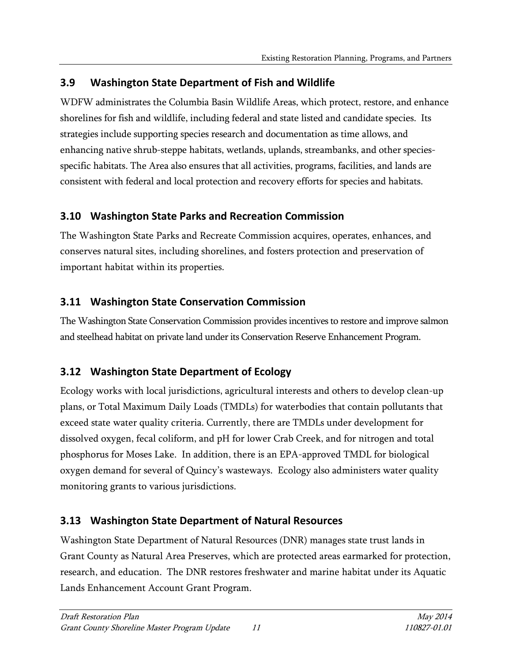# <span id="page-14-0"></span>**3.9 Washington State Department of Fish and Wildlife**

WDFW administrates the Columbia Basin Wildlife Areas, which protect, restore, and enhance shorelines for fish and wildlife, including federal and state listed and candidate species. Its strategies include supporting species research and documentation as time allows, and enhancing native shrub-steppe habitats, wetlands, uplands, streambanks, and other speciesspecific habitats. The Area also ensures that all activities, programs, facilities, and lands are consistent with federal and local protection and recovery efforts for species and habitats.

# <span id="page-14-1"></span>**3.10 Washington State Parks and Recreation Commission**

The Washington State Parks and Recreate Commission acquires, operates, enhances, and conserves natural sites, including shorelines, and fosters protection and preservation of important habitat within its properties.

# <span id="page-14-2"></span>**3.11 Washington State Conservation Commission**

The Washington State Conservation Commission provides incentives to restore and improve salmon and steelhead habitat on private land under its Conservation Reserve Enhancement Program.

# <span id="page-14-3"></span>**3.12 Washington State Department of Ecology**

Ecology works with local jurisdictions, agricultural interests and others to develop clean-up plans, or Total Maximum Daily Loads (TMDLs) for waterbodies that contain pollutants that exceed state water quality criteria. Currently, there are TMDLs under development for dissolved oxygen, fecal coliform, and pH for lower Crab Creek, and for nitrogen and total phosphorus for Moses Lake. In addition, there is an EPA-approved TMDL for biological oxygen demand for several of Quincy's wasteways. Ecology also administers water quality monitoring grants to various jurisdictions.

# <span id="page-14-4"></span>**3.13 Washington State Department of Natural Resources**

Washington State Department of Natural Resources (DNR) manages state trust lands in Grant County as Natural Area Preserves, which are protected areas earmarked for protection, research, and education. The DNR restores freshwater and marine habitat under its Aquatic Lands Enhancement Account Grant Program.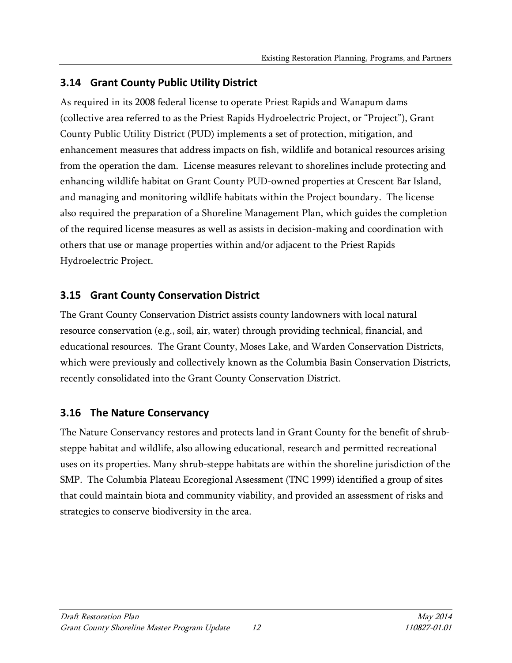## <span id="page-15-0"></span>**3.14 Grant County Public Utility District**

As required in its 2008 federal license to operate Priest Rapids and Wanapum dams (collective area referred to as the Priest Rapids Hydroelectric Project, or "Project"), Grant County Public Utility District (PUD) implements a set of protection, mitigation, and enhancement measures that address impacts on fish, wildlife and botanical resources arising from the operation the dam. License measures relevant to shorelines include protecting and enhancing wildlife habitat on Grant County PUD-owned properties at Crescent Bar Island, and managing and monitoring wildlife habitats within the Project boundary. The license also required the preparation of a Shoreline Management Plan, which guides the completion of the required license measures as well as assists in decision-making and coordination with others that use or manage properties within and/or adjacent to the Priest Rapids Hydroelectric Project.

# <span id="page-15-1"></span>**3.15 Grant County Conservation District**

The Grant County Conservation District assists county landowners with local natural resource conservation (e.g., soil, air, water) through providing technical, financial, and educational resources. The Grant County, Moses Lake, and Warden Conservation Districts, which were previously and collectively known as the Columbia Basin Conservation Districts, recently consolidated into the Grant County Conservation District.

## <span id="page-15-2"></span>**3.16 The Nature Conservancy**

The Nature Conservancy restores and protects land in Grant County for the benefit of shrubsteppe habitat and wildlife, also allowing educational, research and permitted recreational uses on its properties. Many shrub-steppe habitats are within the shoreline jurisdiction of the SMP. The Columbia Plateau Ecoregional Assessment (TNC 1999) identified a group of sites that could maintain biota and community viability, and provided an assessment of risks and strategies to conserve biodiversity in the area.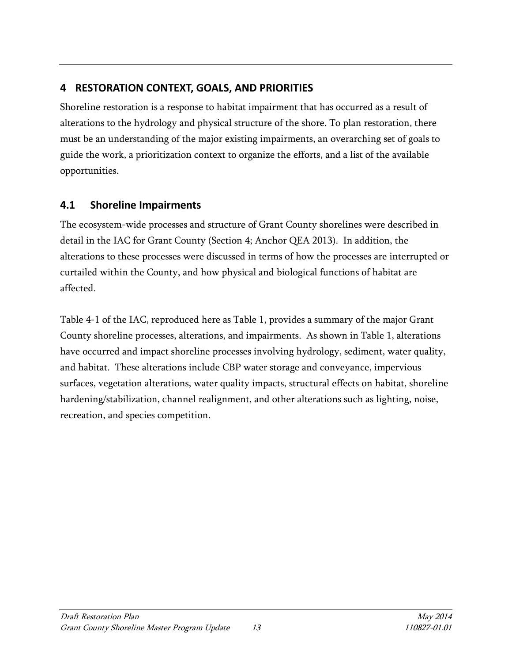# <span id="page-16-0"></span>**4 RESTORATION CONTEXT, GOALS, AND PRIORITIES**

Shoreline restoration is a response to habitat impairment that has occurred as a result of alterations to the hydrology and physical structure of the shore. To plan restoration, there must be an understanding of the major existing impairments, an overarching set of goals to guide the work, a prioritization context to organize the efforts, and a list of the available opportunities.

# <span id="page-16-1"></span>**4.1 Shoreline Impairments**

The ecosystem-wide processes and structure of Grant County shorelines were described in detail in the IAC for Grant County (Section 4; Anchor QEA 2013). In addition, the alterations to these processes were discussed in terms of how the processes are interrupted or curtailed within the County, and how physical and biological functions of habitat are affected.

Table 4-1 of the IAC, reproduced here as Table 1, provides a summary of the major Grant County shoreline processes, alterations, and impairments. As shown in Table 1, alterations have occurred and impact shoreline processes involving hydrology, sediment, water quality, and habitat. These alterations include CBP water storage and conveyance, impervious surfaces, vegetation alterations, water quality impacts, structural effects on habitat, shoreline hardening/stabilization, channel realignment, and other alterations such as lighting, noise, recreation, and species competition.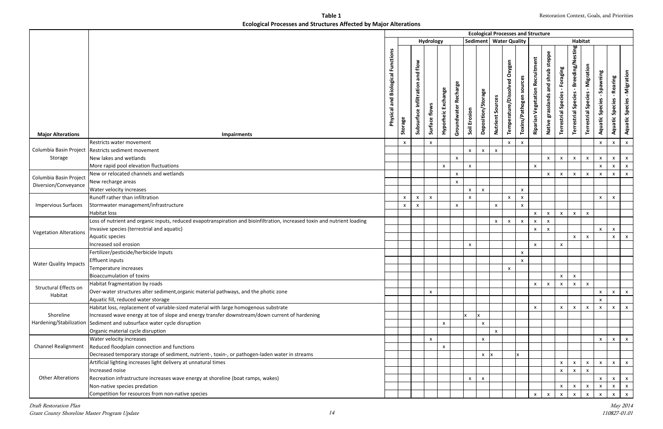**Table 1 Ecological Processes and Structures Affected by Major Alterations**

|                                      |                                                                                                                                                                                                         |  |              |              |                           |              |                           |                           |                           |                     |                                 |                            | <b>Ecological Processes and Structure</b> |                                             |                                        |                                                                  |                                                         |                                       |                                                   |                                    |
|--------------------------------------|---------------------------------------------------------------------------------------------------------------------------------------------------------------------------------------------------------|--|--------------|--------------|---------------------------|--------------|---------------------------|---------------------------|---------------------------|---------------------|---------------------------------|----------------------------|-------------------------------------------|---------------------------------------------|----------------------------------------|------------------------------------------------------------------|---------------------------------------------------------|---------------------------------------|---------------------------------------------------|------------------------------------|
|                                      |                                                                                                                                                                                                         |  |              |              | Hydrology                 |              |                           |                           |                           |                     | Sediment   Water Quality        |                            |                                           |                                             |                                        | <b>Habitat</b>                                                   |                                                         |                                       |                                                   |                                    |
| <b>Major Alterations</b>             | <b>Functions</b><br><b>Biological</b><br>and<br>Physical<br><b>Impairments</b>                                                                                                                          |  |              |              |                           |              | Groundwater Recharge      | Soil Erosion              | Deposition/Storage        | Sources<br>Nutrient | Oxygen<br>Temperature/Dissolved | sources<br>Toxins/Pathogen | <b>Riparian Vegetation Recruitment</b>    | steppe<br>shrub<br>and<br>Native grasslands | Foraging<br><b>Terrestrial Species</b> | Breeding/Nesting<br>$\blacksquare$<br><b>Terrestrial Species</b> | Migration<br>$\mathbf{I}$<br><b>Terrestrial Species</b> | Spawning<br>Species<br><b>Aquatic</b> | Rearing<br>$\mathbf{L}$<br><b>Aquatic Species</b> | <b>Aquatic Species - Migration</b> |
|                                      | Restricts water movement                                                                                                                                                                                |  | $\mathsf{x}$ |              | $\mathsf{x}$              |              |                           |                           |                           |                     | $\boldsymbol{\mathsf{x}}$       | $\mathsf{x}$               |                                           |                                             |                                        |                                                                  |                                                         | $\mathsf{x}$                          | $\pmb{\mathsf{X}}$                                | $\mathsf{x}$                       |
| Columbia Basin Project               | Restricts sediment movement                                                                                                                                                                             |  |              |              |                           |              |                           | $\mathsf{x}$              | $\boldsymbol{\mathsf{x}}$ | $\mathsf{x}$        |                                 |                            |                                           |                                             |                                        |                                                                  |                                                         |                                       |                                                   |                                    |
| Storage                              | New lakes and wetlands                                                                                                                                                                                  |  |              |              |                           |              | $\boldsymbol{\mathsf{x}}$ |                           |                           |                     |                                 |                            |                                           | $\mathsf X$                                 | $\mathsf X$                            | $\pmb{\mathsf{x}}$                                               | $\pmb{\mathsf{X}}$                                      | $\mathsf{x}$                          | $\pmb{\mathsf{X}}$                                | $\mathbf{x}$                       |
|                                      | More rapid pool elevation fluctuations                                                                                                                                                                  |  |              |              |                           | $\mathsf{x}$ |                           | $\mathsf{x}$              |                           |                     |                                 |                            | $\pmb{\mathsf{X}}$                        |                                             |                                        |                                                                  |                                                         | $\pmb{\mathsf{X}}$                    | $\pmb{\mathsf{X}}$                                | $\boldsymbol{\mathsf{X}}$          |
| Columbia Basin Project               | New or relocated channels and wetlands                                                                                                                                                                  |  |              |              |                           |              | $\boldsymbol{\mathsf{x}}$ |                           |                           |                     |                                 |                            |                                           | $\mathsf{x}$                                | $\mathsf{x}$                           | $\mathsf{x}$                                                     | $\pmb{\chi}$                                            | $\mathsf{x}$                          | $\boldsymbol{\mathsf{X}}$                         | $\mathsf{x}$                       |
| Diversion/Conveyance                 | New recharge areas                                                                                                                                                                                      |  |              |              |                           |              | $\boldsymbol{\mathsf{x}}$ |                           |                           |                     |                                 |                            |                                           |                                             |                                        |                                                                  |                                                         |                                       |                                                   |                                    |
|                                      | Water velocity increases                                                                                                                                                                                |  |              |              |                           |              |                           | $\mathsf{x}$              | $\pmb{\times}$            |                     |                                 | $\mathsf{x}$               |                                           |                                             |                                        |                                                                  |                                                         |                                       |                                                   |                                    |
|                                      | Runoff rather than infiltration                                                                                                                                                                         |  | $\mathsf{x}$ | $\mathsf{x}$ | $\mathsf{x}$              |              |                           | $\pmb{\chi}$              |                           |                     | $\mathsf{x}$                    | $\mathsf{x}$               |                                           |                                             |                                        |                                                                  |                                                         | $\mathsf{x}$                          | $\boldsymbol{\mathsf{x}}$                         |                                    |
| <b>Impervious Surfaces</b>           | Stormwater management/infrastructure                                                                                                                                                                    |  | $\pmb{\chi}$ | X            |                           |              | $\pmb{\mathsf{X}}$        |                           |                           | $\mathsf{x}$        |                                 | X                          |                                           |                                             |                                        |                                                                  |                                                         |                                       |                                                   |                                    |
|                                      | Habitat loss                                                                                                                                                                                            |  |              |              |                           |              |                           |                           |                           |                     |                                 |                            | $\boldsymbol{\mathsf{x}}$                 | $\pmb{\mathsf{X}}$                          | $\mathsf{x}$                           | $\pmb{\mathsf{X}}$                                               | $\pmb{\mathsf{X}}$                                      |                                       |                                                   |                                    |
|                                      | Loss of nutrient and organic inputs, reduced evapotranspiration and bioinfiltration, increased toxin and nutrient loading                                                                               |  |              |              |                           |              |                           |                           |                           | $\mathsf{x}$        | $\boldsymbol{\mathsf{x}}$       | $\mathsf{x}$               | $\pmb{\mathsf{X}}$                        | $\pmb{\mathsf{X}}$                          |                                        |                                                                  |                                                         |                                       |                                                   |                                    |
| <b>Vegetation Alterations</b>        | Invasive species (terrestrial and aquatic)                                                                                                                                                              |  |              |              |                           |              |                           |                           |                           |                     |                                 |                            | $\mathsf{x}$                              | $\boldsymbol{\mathsf{x}}$                   |                                        |                                                                  |                                                         | $\mathsf{X}^-$                        | $\pmb{\mathsf{X}}$                                |                                    |
|                                      | Aquatic species                                                                                                                                                                                         |  |              |              |                           |              |                           |                           |                           |                     |                                 |                            |                                           |                                             |                                        | $\mathsf{x}$                                                     | $\pmb{\chi}$                                            |                                       | $\pmb{\chi}$                                      | $\mathsf{x}$                       |
|                                      | Increased soil erosion                                                                                                                                                                                  |  |              |              |                           |              |                           | $\boldsymbol{\mathsf{x}}$ |                           |                     |                                 |                            | $\boldsymbol{\mathsf{x}}$                 |                                             | $\mathsf{x}$                           |                                                                  |                                                         |                                       |                                                   |                                    |
|                                      | Fertilizer/pesticide/herbicide Inputs                                                                                                                                                                   |  |              |              |                           |              |                           |                           |                           |                     |                                 | $\mathsf{x}$               |                                           |                                             |                                        |                                                                  |                                                         |                                       |                                                   |                                    |
| <b>Water Quality Impacts</b>         | Effluent inputs                                                                                                                                                                                         |  |              |              |                           |              |                           |                           |                           |                     |                                 | $\pmb{\mathsf{X}}$         |                                           |                                             |                                        |                                                                  |                                                         |                                       |                                                   |                                    |
|                                      | Temperature increases                                                                                                                                                                                   |  |              |              |                           |              |                           |                           |                           |                     | $\pmb{\mathsf{X}}$              |                            |                                           |                                             |                                        |                                                                  |                                                         |                                       |                                                   |                                    |
|                                      | <b>Bioaccumulation of toxins</b>                                                                                                                                                                        |  |              |              |                           |              |                           |                           |                           |                     |                                 |                            |                                           |                                             | X                                      | $\mathsf{x}$                                                     |                                                         |                                       |                                                   |                                    |
| Structural Effects on                | Habitat fragmentation by roads                                                                                                                                                                          |  |              |              |                           |              |                           |                           |                           |                     |                                 |                            | $\pmb{\chi}$                              | $\boldsymbol{\mathsf{x}}$                   | $\boldsymbol{\mathsf{x}}$              |                                                                  | $\boldsymbol{\mathsf{x}}$                               |                                       |                                                   |                                    |
| Habitat                              | Over-water structures alter sediment, organic material pathways, and the photic zone                                                                                                                    |  |              |              | $\mathsf{x}$              |              |                           |                           |                           |                     |                                 |                            |                                           |                                             |                                        |                                                                  |                                                         | $\mathsf{x}$                          | $\mathsf{x}$                                      | $\mathsf{x}$                       |
|                                      | Aquatic fill, reduced water storage                                                                                                                                                                     |  |              |              |                           |              |                           |                           |                           |                     |                                 |                            |                                           |                                             |                                        |                                                                  |                                                         | X                                     |                                                   |                                    |
|                                      | Habitat loss, replacement of variable-sized material with large homogenous substrate                                                                                                                    |  |              |              |                           |              |                           |                           |                           |                     |                                 |                            | $\pmb{\chi}$                              |                                             | $\mathsf{x}$                           | $\pmb{\times}$                                                   | $\boldsymbol{\mathsf{x}}$                               | $\mathsf{x}$                          | $\pmb{\chi}$                                      | $\mathsf{x}$                       |
| Shoreline<br>Hardening/Stabilization | Increased wave energy at toe of slope and energy transfer downstream/down current of hardening                                                                                                          |  |              |              |                           |              |                           | $\mathbf{x}$              | Ιx                        |                     |                                 |                            |                                           |                                             |                                        |                                                                  |                                                         |                                       |                                                   |                                    |
|                                      | Sediment and subsurface water cycle disruption                                                                                                                                                          |  |              |              |                           | $\mathsf{x}$ |                           |                           | $\boldsymbol{\mathsf{x}}$ |                     |                                 |                            |                                           |                                             |                                        |                                                                  |                                                         |                                       |                                                   |                                    |
|                                      | Organic material cycle disruption                                                                                                                                                                       |  |              |              |                           |              |                           |                           |                           | $\mathsf{x}$        |                                 |                            |                                           |                                             |                                        |                                                                  |                                                         |                                       |                                                   |                                    |
|                                      | Water velocity increases<br><b>Channel Realignment</b><br>Reduced floodplain connection and functions<br>Decreased temporary storage of sediment, nutrient-, toxin-, or pathogen-laden water in streams |  |              |              | $\boldsymbol{\mathsf{x}}$ | $\mathsf{x}$ |                           |                           | $\boldsymbol{\mathsf{x}}$ |                     |                                 |                            |                                           |                                             |                                        |                                                                  |                                                         | $\mathsf{x}$                          | X                                                 | $\mathsf{X}$                       |
|                                      |                                                                                                                                                                                                         |  |              |              |                           |              |                           |                           | $\mathsf{x}$              |                     |                                 |                            |                                           |                                             |                                        |                                                                  |                                                         |                                       |                                                   |                                    |
|                                      | Artificial lighting increases light delivery at unnatural times                                                                                                                                         |  |              |              |                           |              |                           |                           |                           |                     |                                 |                            |                                           |                                             | $\pmb{\mathsf{X}}$                     | $\boldsymbol{\mathsf{x}}$                                        | $\pmb{\mathsf{X}}$                                      | $\mathsf{x}$                          | $\pmb{\chi}$                                      | $\mathbf{x}$                       |
|                                      | Increased noise                                                                                                                                                                                         |  |              |              |                           |              |                           |                           |                           |                     |                                 |                            |                                           |                                             | $\mathsf{x}$                           | $\boldsymbol{\mathsf{x}}$                                        | $\boldsymbol{\mathsf{x}}$                               |                                       |                                                   |                                    |
| <b>Other Alterations</b>             | Recreation infrastructure increases wave energy at shoreline (boat ramps, wakes)                                                                                                                        |  |              |              |                           |              |                           | $\mathsf{x}$              | $\boldsymbol{\mathsf{X}}$ |                     |                                 |                            |                                           |                                             |                                        |                                                                  |                                                         | $\mathsf{x}$                          | $\pmb{\chi}$                                      | $\mathsf{X}$                       |
|                                      | Non-native species predation                                                                                                                                                                            |  |              |              |                           |              |                           |                           |                           |                     |                                 |                            |                                           |                                             | $\pmb{\chi}$                           | $\pmb{\mathsf{X}}$                                               | $\pmb{\mathsf{x}}$                                      | $\mathbf{x}$                          | $\pmb{\mathsf{x}}$                                | $\mathsf{x}$                       |
|                                      | Competition for resources from non-native species                                                                                                                                                       |  |              |              |                           |              |                           |                           |                           |                     |                                 |                            | $\boldsymbol{\mathsf{x}}$                 | $\boldsymbol{\mathsf{x}}$                   | $\boldsymbol{\mathsf{x}}$              | $\boldsymbol{\mathsf{x}}$                                        |                                                         | $\mathsf{x}$                          | $\mathsf{x}$                                      | $\mathsf{X}$                       |
|                                      |                                                                                                                                                                                                         |  |              |              |                           |              |                           |                           |                           |                     |                                 |                            |                                           |                                             |                                        |                                                                  |                                                         |                                       |                                                   |                                    |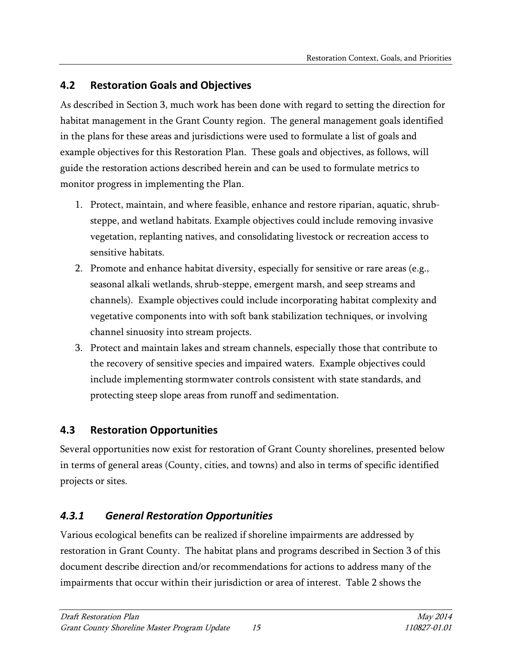## <span id="page-18-0"></span>**4.2 Restoration Goals and Objectives**

As described in Section 3, much work has been done with regard to setting the direction for habitat management in the Grant County region. The general management goals identified in the plans for these areas and jurisdictions were used to formulate a list of goals and example objectives for this Restoration Plan. These goals and objectives, as follows, will guide the restoration actions described herein and can be used to formulate metrics to monitor progress in implementing the Plan.

- 1. Protect, maintain, and where feasible, enhance and restore riparian, aquatic, shrubsteppe, and wetland habitats. Example objectives could include removing invasive vegetation, replanting natives, and consolidating livestock or recreation access to sensitive habitats.
- 2. Promote and enhance habitat diversity, especially for sensitive or rare areas (e.g., seasonal alkali wetlands, shrub-steppe, emergent marsh, and seep streams and channels). Example objectives could include incorporating habitat complexity and vegetative components into with soft bank stabilization techniques, or involving channel sinuosity into stream projects.
- 3. Protect and maintain lakes and stream channels, especially those that contribute to the recovery of sensitive species and impaired waters. Example objectives could include implementing stormwater controls consistent with state standards, and protecting steep slope areas from runoff and sedimentation.

## <span id="page-18-1"></span>**4.3 Restoration Opportunities**

Several opportunities now exist for restoration of Grant County shorelines, presented below in terms of general areas (County, cities, and towns) and also in terms of specific identified projects or sites.

## <span id="page-18-2"></span>*4.3.1 General Restoration Opportunities*

Various ecological benefits can be realized if shoreline impairments are addressed by restoration in Grant County. The habitat plans and programs described in Section 3 of this document describe direction and/or recommendations for actions to address many of the impairments that occur within their jurisdiction or area of interest. Table 2 shows the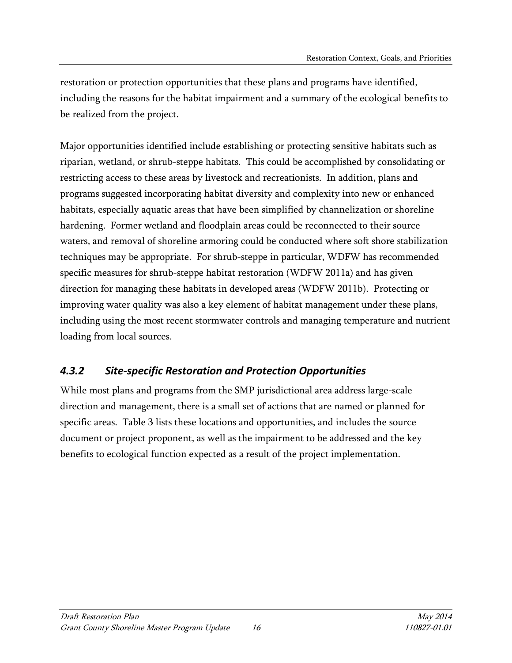restoration or protection opportunities that these plans and programs have identified, including the reasons for the habitat impairment and a summary of the ecological benefits to be realized from the project.

Major opportunities identified include establishing or protecting sensitive habitats such as riparian, wetland, or shrub-steppe habitats. This could be accomplished by consolidating or restricting access to these areas by livestock and recreationists. In addition, plans and programs suggested incorporating habitat diversity and complexity into new or enhanced habitats, especially aquatic areas that have been simplified by channelization or shoreline hardening. Former wetland and floodplain areas could be reconnected to their source waters, and removal of shoreline armoring could be conducted where soft shore stabilization techniques may be appropriate. For shrub-steppe in particular, WDFW has recommended specific measures for shrub-steppe habitat restoration (WDFW 2011a) and has given direction for managing these habitats in developed areas (WDFW 2011b). Protecting or improving water quality was also a key element of habitat management under these plans, including using the most recent stormwater controls and managing temperature and nutrient loading from local sources.

## <span id="page-19-0"></span>*4.3.2 Site-specific Restoration and Protection Opportunities*

While most plans and programs from the SMP jurisdictional area address large-scale direction and management, there is a small set of actions that are named or planned for specific areas. Table 3 lists these locations and opportunities, and includes the source document or project proponent, as well as the impairment to be addressed and the key benefits to ecological function expected as a result of the project implementation.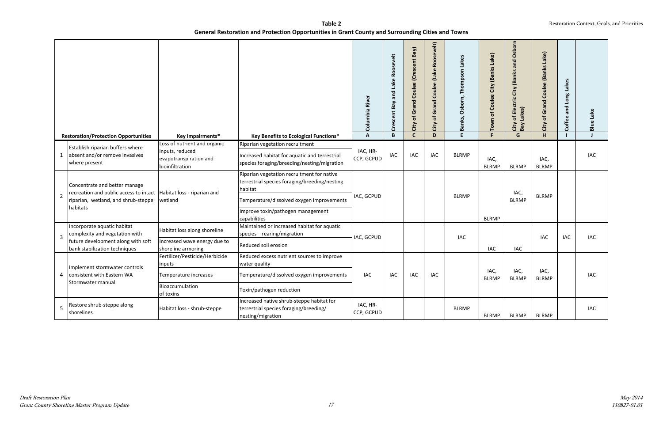|                |                                                                                                                                                          |                                                                                              |                                                                                                                                                                                                          | Columbia River         | Lake Roosevelt<br>and<br>Crescent Bay | City of Grand Coulee (Crescent Bay) | Roosevelt)<br>(Lake<br>Coulee<br>Grand<br>$\mathbf{b}$<br>City | Osborn, Thompson Lakes<br>Banks, | Town of Coulee City (Banks Lake) | City of Electric City (Banks and Osborn<br>Bay Lakes) | City of Grand Coulee (Banks Lake) | Coffee and Long Lakes | <b>Blue Lake</b> |
|----------------|----------------------------------------------------------------------------------------------------------------------------------------------------------|----------------------------------------------------------------------------------------------|----------------------------------------------------------------------------------------------------------------------------------------------------------------------------------------------------------|------------------------|---------------------------------------|-------------------------------------|----------------------------------------------------------------|----------------------------------|----------------------------------|-------------------------------------------------------|-----------------------------------|-----------------------|------------------|
|                | <b>Restoration/Protection Opportunities</b>                                                                                                              | Key Impairments*                                                                             | Key Benefits to Ecological Functions*                                                                                                                                                                    | $\mathbf{A}$           | $\mathbf B$                           | $\mathbf{C}$                        | D                                                              | E.                               | F.                               | G                                                     | $\overline{H}$                    |                       | $\mathsf{J}$     |
| $\mathbf{1}$   | Establish riparian buffers where<br>absent and/or remove invasives<br>where present                                                                      | Loss of nutrient and organic<br>inputs, reduced<br>evapotranspiration and<br>bioinfiltration | Riparian vegetation recruitment<br>Increased habitat for aquatic and terrestrial<br>species foraging/breeding/nesting/migration                                                                          | IAC, HR-<br>CCP, GCPUD | IAC                                   | <b>IAC</b>                          | <b>IAC</b>                                                     | <b>BLRMP</b>                     | IAC,<br><b>BLRMP</b>             | <b>BLRMP</b>                                          | IAC,<br><b>BLRMP</b>              |                       | <b>IAC</b>       |
| $\overline{2}$ | Concentrate and better manage<br>recreation and public access to intact   Habitat loss - riparian and<br>riparian, wetland, and shrub-steppe<br>habitats | wetland                                                                                      | Riparian vegetation recruitment for native<br>terrestrial species foraging/breeding/nesting<br>habitat<br>Temperature/dissolved oxygen improvements<br>Improve toxin/pathogen management<br>capabilities | IAC, GCPUD             |                                       |                                     |                                                                | <b>BLRMP</b>                     | <b>BLRMP</b>                     | IAC,<br><b>BLRMP</b>                                  | <b>BLRMP</b>                      |                       |                  |
| 3              | Incorporate aquatic habitat<br>complexity and vegetation with                                                                                            | Habitat loss along shoreline                                                                 | Maintained or increased habitat for aquatic<br>species - rearing/migration                                                                                                                               | IAC, GCPUD             |                                       |                                     |                                                                | <b>IAC</b>                       |                                  |                                                       | IAC                               | IAC                   | <b>IAC</b>       |
|                | future development along with soft<br>bank stabilization techniques                                                                                      | Increased wave energy due to<br>shoreline armoring                                           | Reduced soil erosion                                                                                                                                                                                     |                        |                                       |                                     |                                                                |                                  | <b>IAC</b>                       | <b>IAC</b>                                            |                                   |                       |                  |
|                | Implement stormwater controls                                                                                                                            | Fertilizer/Pesticide/Herbicide<br>inputs                                                     | Reduced excess nutrient sources to improve<br>water quality                                                                                                                                              |                        |                                       |                                     |                                                                |                                  |                                  |                                                       |                                   |                       |                  |
| 4              | consistent with Eastern WA                                                                                                                               | Temperature increases                                                                        | Temperature/dissolved oxygen improvements                                                                                                                                                                | <b>IAC</b>             | <b>IAC</b>                            | IAC                                 | <b>IAC</b>                                                     |                                  | IAC,<br><b>BLRMP</b>             | IAC,<br><b>BLRMP</b>                                  | IAC,<br><b>BLRMP</b>              |                       | IAC              |
|                | Stormwater manual                                                                                                                                        | Bioaccumulation<br>of toxins                                                                 | Toxin/pathogen reduction                                                                                                                                                                                 |                        |                                       |                                     |                                                                |                                  |                                  |                                                       |                                   |                       |                  |
| 5              | Restore shrub-steppe along<br>shorelines                                                                                                                 | Habitat loss - shrub-steppe                                                                  | Increased native shrub-steppe habitat for<br>terrestrial species foraging/breeding/<br>nesting/migration                                                                                                 | IAC, HR-<br>CCP, GCPUD |                                       |                                     |                                                                | <b>BLRMP</b>                     | <b>BLRMP</b>                     | <b>BLRMP</b>                                          | <b>BLRMP</b>                      |                       | <b>IAC</b>       |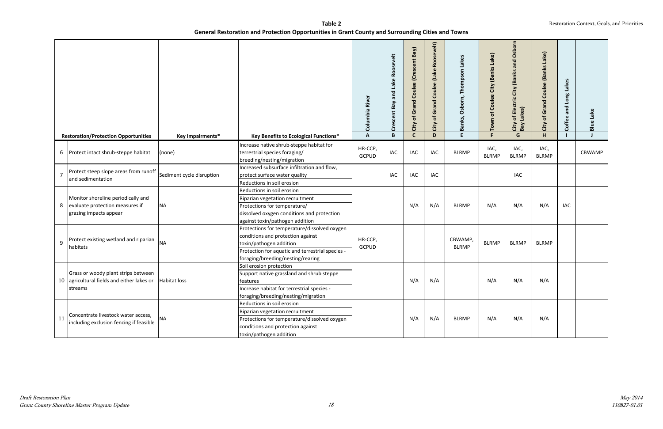|    |                                                                                                           |                           |                                                                                                                                                                                                       | Columbia River          | Lake Roosevelt<br>and<br>Bay<br>Crescent | of Grand Coulee (Crescent Bay)<br>City | Roosevelt)<br>(Lake<br>$\omega$<br>Coulee<br>Grand<br>$\mathbf{b}$<br>City | Lakes<br>Thompson<br>Osborn,<br>Banks, | Lake)<br>City (Banks<br>Coulee<br>Town of | of Electric City (Banks and Osborn<br>Lakes)<br>City<br>Bay I | City of Grand Coulee (Banks Lake) | Lakes<br>Long<br>and<br>Coffee | <b>Blue Lake</b> |
|----|-----------------------------------------------------------------------------------------------------------|---------------------------|-------------------------------------------------------------------------------------------------------------------------------------------------------------------------------------------------------|-------------------------|------------------------------------------|----------------------------------------|----------------------------------------------------------------------------|----------------------------------------|-------------------------------------------|---------------------------------------------------------------|-----------------------------------|--------------------------------|------------------|
|    | <b>Restoration/Protection Opportunities</b>                                                               | <b>Key Impairments*</b>   | Key Benefits to Ecological Functions*                                                                                                                                                                 | $\mathbf{A}$            | B                                        | $\mathsf{C}$                           | D                                                                          | E.                                     | F.                                        | G                                                             | H                                 |                                | $\mathbf{J}$     |
|    | 6 Protect intact shrub-steppe habitat                                                                     | (none)                    | Increase native shrub-steppe habitat for<br>terrestrial species foraging/<br>breeding/nesting/migration                                                                                               | HR-CCP,<br><b>GCPUD</b> | IAC                                      | <b>IAC</b>                             | <b>IAC</b>                                                                 | <b>BLRMP</b>                           | IAC,<br><b>BLRMP</b>                      | IAC,<br><b>BLRMP</b>                                          | IAC,<br><b>BLRMP</b>              |                                | <b>CBWAMP</b>    |
|    | Protect steep slope areas from runoff<br>and sedimentation                                                | Sediment cycle disruption | Increased subsurface infiltration and flow,<br>protect surface water quality<br>Reductions in soil erosion                                                                                            |                         | <b>IAC</b>                               | <b>IAC</b>                             | <b>IAC</b>                                                                 |                                        |                                           | IAC                                                           |                                   |                                |                  |
| 8  | Monitor shoreline periodically and<br>evaluate protection measures if<br>grazing impacts appear           | <b>NA</b>                 | Reductions in soil erosion<br>Riparian vegetation recruitment<br>Protections for temperature/<br>dissolved oxygen conditions and protection<br>against toxin/pathogen addition                        |                         |                                          | N/A                                    | N/A                                                                        | <b>BLRMP</b>                           | N/A                                       | N/A                                                           | N/A                               | IAC                            |                  |
| 9  | Protect existing wetland and riparian<br>habitats                                                         | <b>NA</b>                 | Protections for temperature/dissolved oxygen<br>conditions and protection against<br>toxin/pathogen addition<br>Protection for aquatic and terrestrial species -<br>foraging/breeding/nesting/rearing | HR-CCP,<br><b>GCPUD</b> |                                          |                                        |                                                                            | CBWAMP,<br><b>BLRMP</b>                | <b>BLRMP</b>                              | <b>BLRMP</b>                                                  | <b>BLRMP</b>                      |                                |                  |
|    | Grass or woody plant strips between<br>10 agricultural fields and either lakes or Habitat loss<br>streams |                           | Soil erosion protection<br>Support native grassland and shrub steppe<br>teatures<br>Increase habitat for terrestrial species -<br>foraging/breeding/nesting/migration                                 |                         |                                          | N/A                                    | N/A                                                                        |                                        | N/A                                       | N/A                                                           | N/A                               |                                |                  |
| 11 | Concentrate livestock water access,<br>including exclusion fencing if feasible                            | <b>NA</b>                 | Reductions in soil erosion<br>Riparian vegetation recruitment<br>Protections for temperature/dissolved oxygen<br>conditions and protection against<br>toxin/pathogen addition                         |                         |                                          | N/A                                    | N/A                                                                        | <b>BLRMP</b>                           | N/A                                       | N/A                                                           | N/A                               |                                |                  |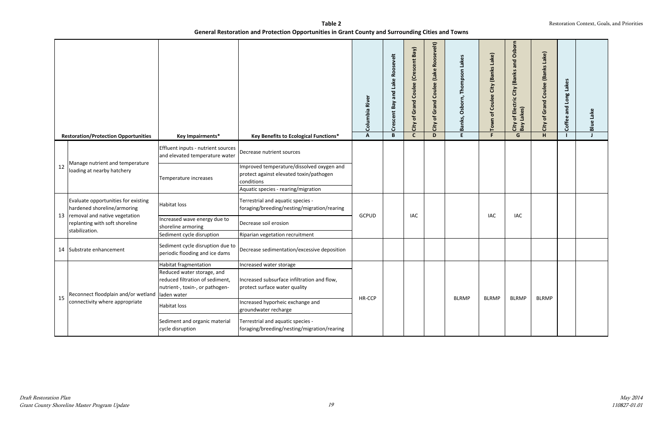|    |                                                                                        |                                                                                                  |                                                                                                   | River<br>Columbia | and Lake Roosevelt<br>Bay<br>Crescent | of Grand Coulee (Crescent Bay)<br>City | Roosevelt)<br>(Lake<br>Coulee<br>Grand<br>$\mathbf{r}$<br>City | Lakes<br>Thompson<br>Osborn,<br>Banks, | City (Banks Lake)<br>Town of Coulee | of Electric City (Banks and Osborn<br>Lakes)<br>City<br>Bay I | City of Grand Coulee (Banks Lake) | Lakes<br>Long I<br>Coffee and | <b>Blue Lake</b> |  |  |
|----|----------------------------------------------------------------------------------------|--------------------------------------------------------------------------------------------------|---------------------------------------------------------------------------------------------------|-------------------|---------------------------------------|----------------------------------------|----------------------------------------------------------------|----------------------------------------|-------------------------------------|---------------------------------------------------------------|-----------------------------------|-------------------------------|------------------|--|--|
|    | <b>Restoration/Protection Opportunities</b>                                            | Key Impairments*                                                                                 | Key Benefits to Ecological Functions*                                                             | $\mathbf{A}$      | B                                     | $\mathsf{C}$                           | D                                                              | E.                                     | F.                                  | G                                                             | H.                                |                               | J                |  |  |
|    |                                                                                        | Effluent inputs - nutrient sources<br>and elevated temperature water                             | Decrease nutrient sources                                                                         |                   |                                       |                                        |                                                                |                                        |                                     |                                                               |                                   |                               |                  |  |  |
| 12 | Manage nutrient and temperature<br>loading at nearby hatchery                          | Temperature increases                                                                            | mproved temperature/dissolved oxygen and<br>protect against elevated toxin/pathogen<br>conditions |                   |                                       |                                        |                                                                |                                        |                                     |                                                               |                                   |                               |                  |  |  |
|    |                                                                                        |                                                                                                  | Aquatic species - rearing/migration                                                               |                   |                                       |                                        |                                                                |                                        |                                     |                                                               |                                   |                               |                  |  |  |
|    | Evaluate opportunities for existing<br>hardened shoreline/armoring                     | <b>Habitat loss</b>                                                                              | Terrestrial and aquatic species -<br>foraging/breeding/nesting/migration/rearing                  |                   |                                       |                                        |                                                                |                                        |                                     |                                                               |                                   |                               |                  |  |  |
|    | 13   removal and native vegetation<br>replanting with soft shoreline<br>stabilization. | Increased wave energy due to<br>shoreline armoring                                               | Decrease soil erosion                                                                             | <b>GCPUD</b>      |                                       |                                        |                                                                | <b>IAC</b>                             |                                     |                                                               | <b>IAC</b>                        | <b>IAC</b>                    |                  |  |  |
|    |                                                                                        | Sediment cycle disruption                                                                        | Riparian vegetation recruitment                                                                   |                   |                                       |                                        |                                                                |                                        |                                     |                                                               |                                   |                               |                  |  |  |
|    | 14 Substrate enhancement                                                               | Sediment cycle disruption due to<br>periodic flooding and ice dams                               | Decrease sedimentation/excessive deposition                                                       |                   |                                       |                                        |                                                                |                                        |                                     |                                                               |                                   |                               |                  |  |  |
|    |                                                                                        | <b>Habitat fragmentation</b>                                                                     | Increased water storage                                                                           |                   |                                       |                                        |                                                                |                                        |                                     |                                                               |                                   |                               |                  |  |  |
|    | Reconnect floodplain and/or wetland   laden water                                      | Reduced water storage, and<br>reduced filtration of sediment,<br>nutrient-, toxin-, or pathogen- | Increased subsurface infiltration and flow,<br>protect surface water quality                      |                   |                                       |                                        |                                                                | <b>BLRMP</b>                           | <b>BLRMP</b>                        | <b>BLRMP</b>                                                  | <b>BLRMP</b>                      |                               |                  |  |  |
| 15 | connectivity where appropriate                                                         | <b>Habitat loss</b>                                                                              | Increased hyporheic exchange and<br>groundwater recharge                                          |                   | HR-CCP                                |                                        |                                                                |                                        |                                     |                                                               |                                   |                               |                  |  |  |
|    |                                                                                        | Sediment and organic material<br>cycle disruption                                                | Terrestrial and aquatic species -<br>foraging/breeding/nesting/migration/rearing                  |                   |                                       |                                        |                                                                |                                        |                                     |                                                               |                                   |                               |                  |  |  |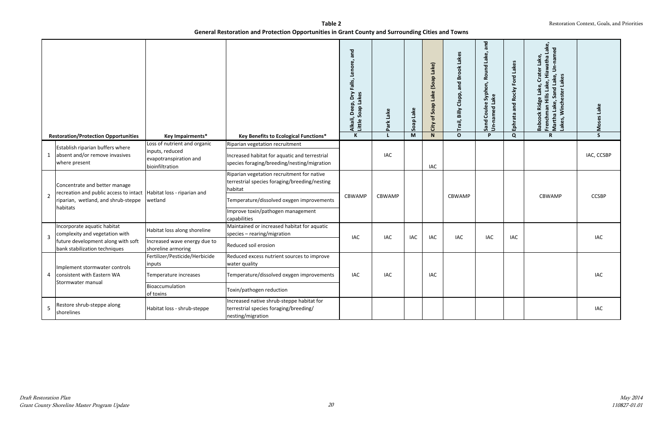|                | <b>Restoration/Protection Opportunities</b>                                                           | Key Impairments*                                             | Key Benefits to Ecological Functions*                                                                    | and<br>Alkali, Deep, Dry Falls, Lenore,<br>Little Soap Lakes<br>$\overline{\mathbf{K}}$ | Park Lake<br>$\mathbf{L}$ | Soap Lake<br>$\overline{M}$ | City of Soap Lake (Soap Lake)<br>$\overline{N}$ | and Brook Lakes<br>Trail, Billy Clapp,<br>$\mathbf{o}$ | and<br>Lake,<br>Round<br>Syphon,<br>Lake<br>$\omega$<br>Coulee<br>Sand Coule<br>Un-named I<br>D | Lakes<br>Ford<br>Ephrata and Rocky<br>$\overline{Q}$ | Lake.<br>Un-named<br>Lake,<br>Hills Lake, Hiawatha<br>Crater<br>Sand Lake,<br>Lakes<br>Lake,<br>Winchester<br>Ridge<br>Martha Lake, S<br>Lakes, Winche<br>Frenchman<br><b>Babcock</b><br>$\mathbf R$ | Moses Lake<br>$\overline{\mathsf{s}}$ |
|----------------|-------------------------------------------------------------------------------------------------------|--------------------------------------------------------------|----------------------------------------------------------------------------------------------------------|-----------------------------------------------------------------------------------------|---------------------------|-----------------------------|-------------------------------------------------|--------------------------------------------------------|-------------------------------------------------------------------------------------------------|------------------------------------------------------|------------------------------------------------------------------------------------------------------------------------------------------------------------------------------------------------------|---------------------------------------|
|                |                                                                                                       | Loss of nutrient and organic                                 | Riparian vegetation recruitment                                                                          |                                                                                         |                           |                             |                                                 |                                                        |                                                                                                 |                                                      |                                                                                                                                                                                                      |                                       |
| $\mathbf{1}$   | Establish riparian buffers where<br>absent and/or remove invasives<br>where present                   | inputs, reduced<br>evapotranspiration and<br>bioinfiltration | Increased habitat for aquatic and terrestrial<br>species foraging/breeding/nesting/migration             |                                                                                         | IAC                       |                             | IAC                                             |                                                        |                                                                                                 |                                                      |                                                                                                                                                                                                      | IAC, CCSBP                            |
|                | Concentrate and better manage<br>recreation and public access to intact   Habitat loss - riparian and |                                                              | Riparian vegetation recruitment for native<br>terrestrial species foraging/breeding/nesting<br>habitat   | CBWAMP                                                                                  |                           |                             |                                                 |                                                        |                                                                                                 |                                                      |                                                                                                                                                                                                      | <b>CCSBP</b>                          |
| $\overline{2}$ | riparian, wetland, and shrub-steppe<br>habitats                                                       | wetland                                                      | Temperature/dissolved oxygen improvements<br>Improve toxin/pathogen management<br>capabilities           |                                                                                         | <b>CBWAMP</b>             |                             |                                                 | <b>CBWAMP</b>                                          |                                                                                                 |                                                      | <b>CBWAMP</b>                                                                                                                                                                                        |                                       |
|                | Incorporate aquatic habitat<br>complexity and vegetation with                                         | Habitat loss along shoreline                                 | Maintained or increased habitat for aquatic<br>species - rearing/migration                               |                                                                                         |                           |                             |                                                 |                                                        |                                                                                                 |                                                      |                                                                                                                                                                                                      |                                       |
| $\overline{3}$ | future development along with soft<br>bank stabilization techniques                                   | Increased wave energy due to<br>shoreline armoring           | Reduced soil erosion                                                                                     | <b>IAC</b>                                                                              | <b>IAC</b>                | IAC                         | IAC                                             | <b>IAC</b>                                             | <b>IAC</b>                                                                                      | IAC                                                  |                                                                                                                                                                                                      | <b>IAC</b>                            |
|                | Implement stormwater controls                                                                         | Fertilizer/Pesticide/Herbicide<br>inputs                     | Reduced excess nutrient sources to improve<br>water quality                                              |                                                                                         |                           |                             |                                                 |                                                        |                                                                                                 |                                                      |                                                                                                                                                                                                      |                                       |
| 4              | consistent with Eastern WA                                                                            | Temperature increases                                        | Temperature/dissolved oxygen improvements                                                                | <b>IAC</b>                                                                              | <b>IAC</b>                |                             | IAC                                             |                                                        |                                                                                                 |                                                      |                                                                                                                                                                                                      | <b>IAC</b>                            |
|                | Stormwater manual                                                                                     | Bioaccumulation<br>of toxins                                 | Toxin/pathogen reduction                                                                                 |                                                                                         |                           |                             |                                                 |                                                        |                                                                                                 |                                                      |                                                                                                                                                                                                      |                                       |
| 5              | Restore shrub-steppe along<br>shorelines                                                              | Habitat loss - shrub-steppe                                  | Increased native shrub-steppe habitat for<br>terrestrial species foraging/breeding/<br>nesting/migration |                                                                                         |                           |                             |                                                 |                                                        |                                                                                                 |                                                      |                                                                                                                                                                                                      | <b>IAC</b>                            |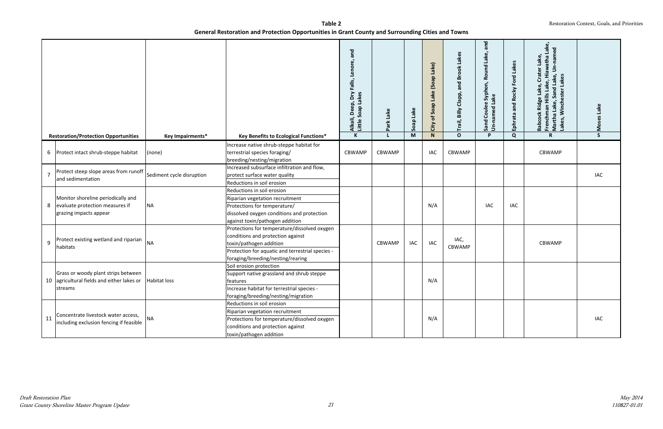|                | <b>Restoration/Protection Opportunities</b>             | Key Impairments*          | Key Benefits to Ecological Functions*                                                                   | and<br>Lenore,<br>Alkali, Deep, Dry Falls,<br>Little Soap Lakes<br>$\mathbf K$ | Lake<br>Park<br>$\mathbf{I}$ | Soap Lake<br>M | City of Soap Lake (Soap Lake)<br>$\mathsf{N}$ | Trail, Billy Clapp, and Brook Lakes<br>$\mathbf{o}$ | pue<br><b>Nel</b><br>Round<br>Syphon,<br>Lake<br>Couler<br>ъ<br>Sand Coul<br>Un-named<br><b>P</b> | and Rocky Ford Lakes<br>Ephrata<br>Q | Un-named<br>Lake,<br>Hills Lake, Hiawatha<br>Crater<br>Sand Lake,<br>Lakes, Winchester Lakes<br>Lake,<br>Ridge<br>Frenchman Hi<br>Martha Lake, '<br><b>Babcock</b><br>$\mathsf{R}$ | Moses Lake<br>$\mathsf{S}$ |  |
|----------------|---------------------------------------------------------|---------------------------|---------------------------------------------------------------------------------------------------------|--------------------------------------------------------------------------------|------------------------------|----------------|-----------------------------------------------|-----------------------------------------------------|---------------------------------------------------------------------------------------------------|--------------------------------------|------------------------------------------------------------------------------------------------------------------------------------------------------------------------------------|----------------------------|--|
|                |                                                         |                           |                                                                                                         |                                                                                |                              |                |                                               |                                                     |                                                                                                   |                                      |                                                                                                                                                                                    |                            |  |
|                | 6 Protect intact shrub-steppe habitat                   | (none)                    | Increase native shrub-steppe habitat for<br>terrestrial species foraging/<br>breeding/nesting/migration | CBWAMP                                                                         | <b>CBWAMP</b>                |                | <b>IAC</b>                                    | CBWAMP                                              |                                                                                                   |                                      | CBWAMP                                                                                                                                                                             |                            |  |
|                | Protect steep slope areas from runoff                   |                           | Increased subsurface infiltration and flow,                                                             |                                                                                |                              |                |                                               |                                                     |                                                                                                   |                                      |                                                                                                                                                                                    |                            |  |
| $\overline{7}$ | and sedimentation                                       | Sediment cycle disruption | protect surface water quality                                                                           |                                                                                |                              |                |                                               |                                                     |                                                                                                   |                                      |                                                                                                                                                                                    | <b>IAC</b>                 |  |
|                |                                                         |                           | Reductions in soil erosion                                                                              |                                                                                |                              |                |                                               |                                                     |                                                                                                   |                                      |                                                                                                                                                                                    |                            |  |
|                |                                                         |                           | Reductions in soil erosion                                                                              |                                                                                |                              |                |                                               |                                                     |                                                                                                   |                                      |                                                                                                                                                                                    |                            |  |
|                | Monitor shoreline periodically and                      |                           | Riparian vegetation recruitment                                                                         |                                                                                |                              |                |                                               |                                                     |                                                                                                   |                                      |                                                                                                                                                                                    |                            |  |
| 8              | evaluate protection measures if                         | <b>NA</b>                 | Protections for temperature/                                                                            |                                                                                |                              |                |                                               | N/A                                                 |                                                                                                   | <b>IAC</b>                           | IAC                                                                                                                                                                                |                            |  |
|                | grazing impacts appear                                  |                           | dissolved oxygen conditions and protection                                                              |                                                                                |                              |                |                                               |                                                     |                                                                                                   |                                      |                                                                                                                                                                                    |                            |  |
|                |                                                         |                           | against toxin/pathogen addition                                                                         |                                                                                |                              |                |                                               |                                                     |                                                                                                   |                                      |                                                                                                                                                                                    |                            |  |
|                |                                                         |                           | Protections for temperature/dissolved oxygen                                                            |                                                                                |                              |                |                                               |                                                     |                                                                                                   |                                      |                                                                                                                                                                                    |                            |  |
|                | Protect existing wetland and riparian                   |                           | conditions and protection against                                                                       |                                                                                |                              |                |                                               | IAC,                                                |                                                                                                   |                                      |                                                                                                                                                                                    |                            |  |
| 9              | habitats                                                | <b>NA</b>                 | toxin/pathogen addition                                                                                 |                                                                                | <b>CBWAMP</b>                | <b>IAC</b>     | IAC                                           | CBWAMP                                              |                                                                                                   |                                      | CBWAMP                                                                                                                                                                             |                            |  |
|                |                                                         |                           | Protection for aquatic and terrestrial species -                                                        |                                                                                |                              |                |                                               |                                                     |                                                                                                   |                                      |                                                                                                                                                                                    |                            |  |
|                |                                                         |                           | foraging/breeding/nesting/rearing                                                                       |                                                                                |                              |                |                                               |                                                     |                                                                                                   |                                      |                                                                                                                                                                                    |                            |  |
|                | Grass or woody plant strips between                     |                           | Soil erosion protection                                                                                 |                                                                                |                              |                |                                               |                                                     |                                                                                                   |                                      |                                                                                                                                                                                    |                            |  |
|                | 10 agricultural fields and either lakes or Habitat loss |                           | Support native grassland and shrub steppe                                                               |                                                                                |                              |                | N/A                                           |                                                     |                                                                                                   |                                      |                                                                                                                                                                                    |                            |  |
|                | streams                                                 |                           | features<br>Increase habitat for terrestrial species -                                                  |                                                                                |                              |                |                                               |                                                     |                                                                                                   |                                      |                                                                                                                                                                                    |                            |  |
|                |                                                         |                           | foraging/breeding/nesting/migration                                                                     |                                                                                |                              |                |                                               |                                                     |                                                                                                   |                                      |                                                                                                                                                                                    |                            |  |
|                |                                                         |                           | Reductions in soil erosion                                                                              |                                                                                |                              |                |                                               |                                                     |                                                                                                   |                                      |                                                                                                                                                                                    |                            |  |
|                |                                                         |                           | Riparian vegetation recruitment                                                                         |                                                                                |                              |                |                                               |                                                     |                                                                                                   |                                      |                                                                                                                                                                                    |                            |  |
| 11             | Concentrate livestock water access,                     |                           | Protections for temperature/dissolved oxygen                                                            |                                                                                |                              |                | N/A                                           |                                                     |                                                                                                   |                                      |                                                                                                                                                                                    | IAC                        |  |
|                | including exclusion fencing if feasible                 | <b>NA</b>                 | conditions and protection against                                                                       |                                                                                |                              |                |                                               |                                                     |                                                                                                   |                                      |                                                                                                                                                                                    |                            |  |
|                |                                                         |                           | toxin/pathogen addition                                                                                 |                                                                                |                              |                |                                               |                                                     |                                                                                                   |                                      |                                                                                                                                                                                    |                            |  |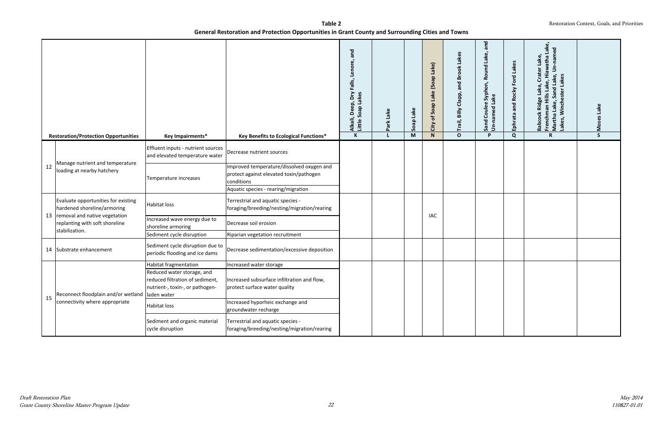|    |                                                                                        |                                                                                                  |                                                                                                                                           | and<br>Lenore,<br>Falls,<br>δŊ<br>Alkali, Deep, Dry I<br>Little Soap Lakes<br>$\,$ K | Lake<br>Park | Soap Lake<br>M | City of Soap Lake (Soap Lake)<br>${\bf N}$ | Trail, Billy Clapp, and Brook Lakes<br>$\mathbf{o}$ | and<br>Ňel<br>Round<br>Syphon,<br>Lake<br><b>Coulee</b><br>Sand Coule<br>Un-named I<br>P | Ephrata and Rocky Ford Lakes<br>Q | ਠ<br>Hiawatha<br>美<br>Lake,<br>Lakes<br>Lake,<br>Sand<br><b>ister</b><br>Hills<br>Frenchman Hi<br>Martha Lake, '<br>Winch<br>Bab<br><b>Kel</b><br>R | Lake<br>Mos<br>S |
|----|----------------------------------------------------------------------------------------|--------------------------------------------------------------------------------------------------|-------------------------------------------------------------------------------------------------------------------------------------------|--------------------------------------------------------------------------------------|--------------|----------------|--------------------------------------------|-----------------------------------------------------|------------------------------------------------------------------------------------------|-----------------------------------|-----------------------------------------------------------------------------------------------------------------------------------------------------|------------------|
|    | <b>Restoration/Protection Opportunities</b>                                            | Key Impairments*                                                                                 | Key Benefits to Ecological Functions*                                                                                                     |                                                                                      |              |                |                                            |                                                     |                                                                                          |                                   |                                                                                                                                                     |                  |
|    |                                                                                        | Effluent inputs - nutrient sources<br>and elevated temperature water                             | Decrease nutrient sources                                                                                                                 |                                                                                      |              |                |                                            |                                                     |                                                                                          |                                   |                                                                                                                                                     |                  |
| 12 | Manage nutrient and temperature<br>loading at nearby hatchery                          | Temperature increases                                                                            | Improved temperature/dissolved oxygen and<br>protect against elevated toxin/pathogen<br>conditions<br>Aquatic species - rearing/migration |                                                                                      |              |                |                                            |                                                     |                                                                                          |                                   |                                                                                                                                                     |                  |
|    | Evaluate opportunities for existing<br>hardened shoreline/armoring                     | <b>Habitat loss</b>                                                                              | Terrestrial and aquatic species -<br>foraging/breeding/nesting/migration/rearing                                                          |                                                                                      |              |                |                                            |                                                     |                                                                                          |                                   |                                                                                                                                                     |                  |
|    | 13   removal and native vegetation<br>replanting with soft shoreline<br>stabilization. | Increased wave energy due to<br>shoreline armoring                                               | Decrease soil erosion                                                                                                                     |                                                                                      |              |                | <b>IAC</b>                                 |                                                     |                                                                                          |                                   |                                                                                                                                                     |                  |
|    |                                                                                        | Sediment cycle disruption                                                                        | Riparian vegetation recruitment                                                                                                           |                                                                                      |              |                |                                            |                                                     |                                                                                          |                                   |                                                                                                                                                     |                  |
|    | 14 Substrate enhancement                                                               | Sediment cycle disruption due to<br>periodic flooding and ice dams                               | Decrease sedimentation/excessive deposition                                                                                               |                                                                                      |              |                |                                            |                                                     |                                                                                          |                                   |                                                                                                                                                     |                  |
|    |                                                                                        | Habitat fragmentation                                                                            | Increased water storage                                                                                                                   |                                                                                      |              |                |                                            |                                                     |                                                                                          |                                   |                                                                                                                                                     |                  |
| 15 | Reconnect floodplain and/or wetland   laden water                                      | Reduced water storage, and<br>reduced filtration of sediment,<br>nutrient-, toxin-, or pathogen- | Increased subsurface infiltration and flow,<br>protect surface water quality                                                              |                                                                                      |              |                |                                            |                                                     |                                                                                          |                                   |                                                                                                                                                     |                  |
|    | connectivity where appropriate                                                         | Habitat loss                                                                                     | Increased hyporheic exchange and<br>groundwater recharge                                                                                  |                                                                                      |              |                |                                            |                                                     |                                                                                          |                                   |                                                                                                                                                     |                  |
|    |                                                                                        | Sediment and organic material<br>cycle disruption                                                | Terrestrial and aquatic species -<br>foraging/breeding/nesting/migration/rearing                                                          |                                                                                      |              |                |                                            |                                                     |                                                                                          |                                   |                                                                                                                                                     |                  |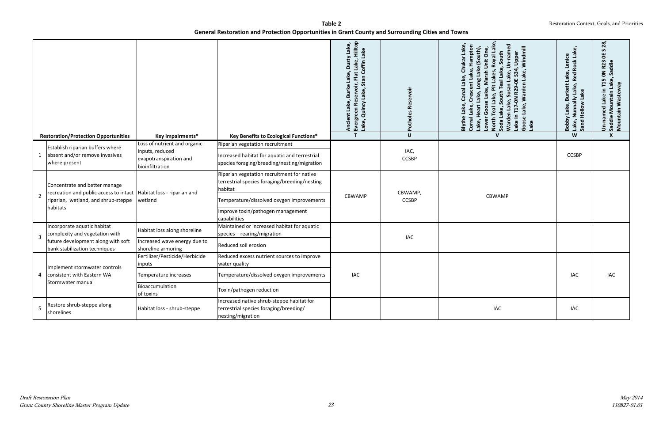|                |                                                                                                                                                          |                                                                                              |                                                                                                                                                                                                          | Ancient Lake, Burke Lake, Dusty Lake,<br>Evergreen Reservoir, Flat Lake, Hilltop<br>Lake, Quincy Lake, Stan Coffin Lake | <b>Potholes Reservoir</b> | Susan Lake, Un-named<br>Crescent Lake, Hampton<br>Pit Lakes, Royal Lak<br>Windmill<br>Long Lake (South),<br>Lower Goose Lake, Marsh Unit One<br>South Teal Lake, South<br>S34, Upper<br>ke,<br>T17-0N R29-0E<br>Warden<br>Canal<br>Heart Lake,<br>North Teal Lake,<br>Warden Lake,<br>Lake,<br>Lake,<br>Lake in<br>Goose L<br>Blythe<br>Corral I<br>Lake,<br>Soda<br>Lake | Red Rock Lake,<br>Lenice<br>Lake,<br>Nunnally Lake,<br><b>Burkett</b><br>Sand Hollow Lake<br>Lake,<br>Bobby<br>Lake, | $\overline{28}$<br>S.<br>ŏ<br>Saddle<br>R23<br>$\mathsf{S}$<br>Un-named Lake in T15 (<br>Saddle Mountain Lake,<br>Mountain Wasteway |
|----------------|----------------------------------------------------------------------------------------------------------------------------------------------------------|----------------------------------------------------------------------------------------------|----------------------------------------------------------------------------------------------------------------------------------------------------------------------------------------------------------|-------------------------------------------------------------------------------------------------------------------------|---------------------------|---------------------------------------------------------------------------------------------------------------------------------------------------------------------------------------------------------------------------------------------------------------------------------------------------------------------------------------------------------------------------|----------------------------------------------------------------------------------------------------------------------|-------------------------------------------------------------------------------------------------------------------------------------|
|                | <b>Restoration/Protection Opportunities</b>                                                                                                              | <b>Key Impairments*</b>                                                                      | Key Benefits to Ecological Functions*                                                                                                                                                                    | $\mathbf T$                                                                                                             | $\overline{U}$            | V                                                                                                                                                                                                                                                                                                                                                                         | W                                                                                                                    | X                                                                                                                                   |
|                | Establish riparian buffers where<br>absent and/or remove invasives<br>where present                                                                      | Loss of nutrient and organic<br>inputs, reduced<br>evapotranspiration and<br>bioinfiltration | Riparian vegetation recruitment<br>Increased habitat for aquatic and terrestrial<br>species foraging/breeding/nesting/migration                                                                          |                                                                                                                         | IAC,<br><b>CCSBP</b>      |                                                                                                                                                                                                                                                                                                                                                                           | <b>CCSBP</b>                                                                                                         |                                                                                                                                     |
| $\overline{2}$ | Concentrate and better manage<br>recreation and public access to intact   Habitat loss - riparian and<br>riparian, wetland, and shrub-steppe<br>habitats | wetland                                                                                      | Riparian vegetation recruitment for native<br>terrestrial species foraging/breeding/nesting<br>habitat<br>Temperature/dissolved oxygen improvements<br>Improve toxin/pathogen management<br>capabilities | CBWAMP                                                                                                                  | CBWAMP,<br><b>CCSBP</b>   | <b>CBWAMP</b>                                                                                                                                                                                                                                                                                                                                                             |                                                                                                                      |                                                                                                                                     |
| 3              | Incorporate aquatic habitat<br>complexity and vegetation with<br>future development along with soft                                                      | Habitat loss along shoreline<br>Increased wave energy due to                                 | Maintained or increased habitat for aquatic<br>species - rearing/migration                                                                                                                               |                                                                                                                         | IAC                       |                                                                                                                                                                                                                                                                                                                                                                           |                                                                                                                      |                                                                                                                                     |
|                | bank stabilization techniques                                                                                                                            | shoreline armoring                                                                           | Reduced soil erosion                                                                                                                                                                                     |                                                                                                                         |                           |                                                                                                                                                                                                                                                                                                                                                                           |                                                                                                                      |                                                                                                                                     |
|                | Implement stormwater controls                                                                                                                            | Fertilizer/Pesticide/Herbicide<br>inputs                                                     | Reduced excess nutrient sources to improve<br>water quality                                                                                                                                              |                                                                                                                         |                           |                                                                                                                                                                                                                                                                                                                                                                           |                                                                                                                      |                                                                                                                                     |
| 4              | consistent with Eastern WA                                                                                                                               | Temperature increases                                                                        | Temperature/dissolved oxygen improvements                                                                                                                                                                | <b>IAC</b>                                                                                                              |                           |                                                                                                                                                                                                                                                                                                                                                                           | IAC                                                                                                                  | <b>IAC</b>                                                                                                                          |
|                | Stormwater manual                                                                                                                                        | Bioaccumulation<br>of toxins                                                                 | Toxin/pathogen reduction                                                                                                                                                                                 |                                                                                                                         |                           |                                                                                                                                                                                                                                                                                                                                                                           |                                                                                                                      |                                                                                                                                     |
| 5              | Restore shrub-steppe along<br>shorelines                                                                                                                 | Habitat loss - shrub-steppe                                                                  | Increased native shrub-steppe habitat for<br>terrestrial species foraging/breeding/<br>nesting/migration                                                                                                 |                                                                                                                         |                           | <b>IAC</b>                                                                                                                                                                                                                                                                                                                                                                | <b>IAC</b>                                                                                                           |                                                                                                                                     |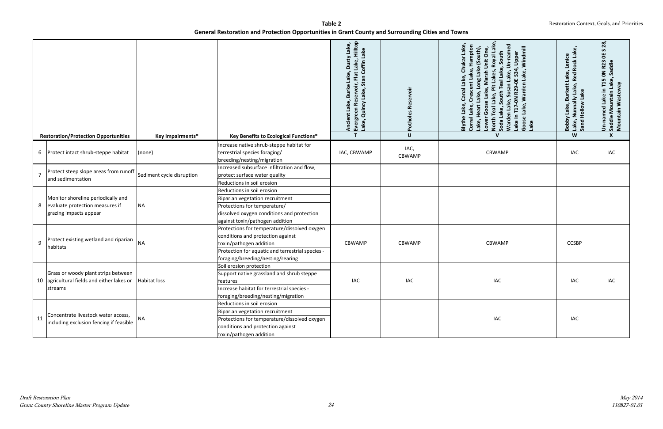|                |                                                                                                             |                           |                                                                                                                                                                                                       | Flat Lake, Hilltop<br>Lake, Dusty Lake,<br>Coffin Lake<br>Stan<br>Evergreen Reservoir,<br>Lake, Quincy Lake, St<br><b>Burke</b><br>Ancient Lake, | Poth           | Susan Lake, Un-named<br>Lake,<br>Hampton<br>Windmill<br>outh),<br>Royal La<br>Unit One<br>South<br>T17-0N R29-0E S34, Upper<br>Chukai<br>و (S<br>eal Lake.<br>Crescent Lake,<br>Warden Lake,<br>Lakes<br>ු<br><b>Ruon</b><br>Canal<br>South<br>ake.<br>Warden Lake,<br>Lake,<br><b>Teal L</b><br>Lake,<br>Heart<br>ake.<br>Lake in<br>Goose<br>Corral<br><b>North</b><br>Blyth<br>ake,<br>Soda<br>Lake<br>$\epsilon$ | Red Rock Lake,<br>Lenice<br>Lake,<br>, באלפ, Burkett L.<br>א Munnally Lake, F.<br>Hollow Lake<br>Bobby<br>Lake, N<br>Sand | 28,<br>$\mathbf{v}$<br>븽<br>Un-named Lake in T15 0N R23<br>Saddle Mountain Lake, Saddle<br>Mountain Wasteway |
|----------------|-------------------------------------------------------------------------------------------------------------|---------------------------|-------------------------------------------------------------------------------------------------------------------------------------------------------------------------------------------------------|--------------------------------------------------------------------------------------------------------------------------------------------------|----------------|----------------------------------------------------------------------------------------------------------------------------------------------------------------------------------------------------------------------------------------------------------------------------------------------------------------------------------------------------------------------------------------------------------------------|---------------------------------------------------------------------------------------------------------------------------|--------------------------------------------------------------------------------------------------------------|
|                | <b>Restoration/Protection Opportunities</b>                                                                 | <b>Key Impairments*</b>   | <b>Key Benefits to Ecological Functions*</b>                                                                                                                                                          | $\mathsf{T}$                                                                                                                                     | $\cup$         | $\mathbf v$                                                                                                                                                                                                                                                                                                                                                                                                          | W                                                                                                                         | X                                                                                                            |
|                | 6 Protect intact shrub-steppe habitat                                                                       | (none)                    | Increase native shrub-steppe habitat for<br>terrestrial species foraging/<br>breeding/nesting/migration                                                                                               | IAC, CBWAMP                                                                                                                                      | IAC,<br>CBWAMP | <b>CBWAMP</b>                                                                                                                                                                                                                                                                                                                                                                                                        | IAC                                                                                                                       | IAC                                                                                                          |
| $\overline{7}$ | Protect steep slope areas from runoff<br>and sedimentation                                                  | Sediment cycle disruption | Increased subsurface infiltration and flow,<br>protect surface water quality<br>Reductions in soil erosion                                                                                            |                                                                                                                                                  |                |                                                                                                                                                                                                                                                                                                                                                                                                                      |                                                                                                                           |                                                                                                              |
|                | Monitor shoreline periodically and<br>8 evaluate protection measures if<br>grazing impacts appear           | <b>NA</b>                 | Reductions in soil erosion<br>Riparian vegetation recruitment<br>Protections for temperature/<br>dissolved oxygen conditions and protection<br>against toxin/pathogen addition                        |                                                                                                                                                  |                |                                                                                                                                                                                                                                                                                                                                                                                                                      |                                                                                                                           |                                                                                                              |
| 9              | Protect existing wetland and riparian<br>habitats                                                           | <b>NA</b>                 | Protections for temperature/dissolved oxygen<br>conditions and protection against<br>toxin/pathogen addition<br>Protection for aquatic and terrestrial species -<br>foraging/breeding/nesting/rearing | <b>CBWAMP</b>                                                                                                                                    | <b>CBWAMP</b>  | <b>CBWAMP</b>                                                                                                                                                                                                                                                                                                                                                                                                        | <b>CCSBP</b>                                                                                                              |                                                                                                              |
|                | Grass or woody plant strips between<br>10 agricultural fields and either lakes or   Habitat loss<br>streams |                           | Soil erosion protection<br>Support native grassland and shrub steppe<br>features<br>Increase habitat for terrestrial species -<br>foraging/breeding/nesting/migration                                 | IAC                                                                                                                                              | IAC            | IAC                                                                                                                                                                                                                                                                                                                                                                                                                  | IAC                                                                                                                       | IAC                                                                                                          |
| 11             | Concentrate livestock water access,<br>including exclusion fencing if feasible                              | <b>NA</b>                 | Reductions in soil erosion<br>Riparian vegetation recruitment<br>Protections for temperature/dissolved oxygen<br>conditions and protection against<br>toxin/pathogen addition                         |                                                                                                                                                  |                | IAC                                                                                                                                                                                                                                                                                                                                                                                                                  | IAC                                                                                                                       |                                                                                                              |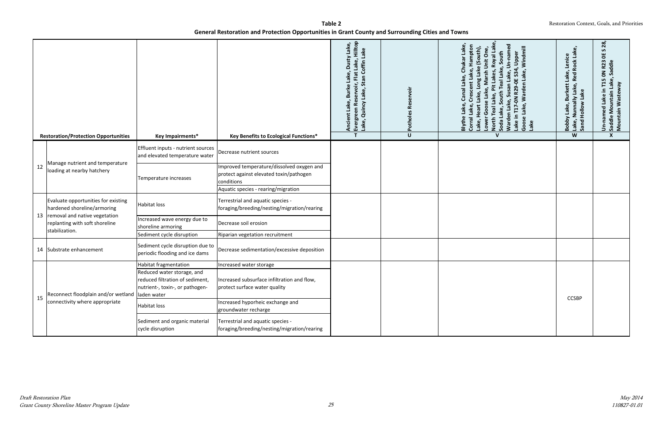|    | <b>Restoration/Protection Opportunities</b>                                                                                                                  | Key Impairments*                                                     | <b>Key Benefits to Ecological Functions*</b>                                         | Evergreen Reservoir, Flat Lake, Hilltop<br>Lake, Dusty Lake,<br>Coffin Lake<br>Stan<br><b>Burke</b><br>Quincy Lake,<br>Lake,<br>Ancient<br>Lake,<br>$\mathsf{T}$ | İõ<br>$\cup$ | Warden Lake, Susan Lake, Un-named<br>Lake,<br>lampton<br>Windmill<br>outh),<br>arsh Unit One<br>Royal Lal<br>South<br>Lake in T17-0N R29-0E S34, Upper<br>South Teal Lake,<br>Lake, Warden Lake,<br>Lakes,<br>Lake,<br>Canal<br>Ö<br>人名<br>ake.<br>ပ္တ<br>Lake,<br>Teal L<br>Lake,<br>Heart<br>Goo<br>Lake,<br>Blythe<br>Corral I<br>Goose<br><b>North</b><br>ake,<br>Soda<br>Lake<br>Low<br>$\mathbf{v}$ | ke,<br>$\mathbf{G}$<br>Lenice<br><b>Red Rock</b><br>Lake,<br>, Nunnally Lake, F<br>I Hollow Lake<br><b>Burkett</b><br>Lake,<br>Bobby<br>Lake, I<br>Sand H<br>W | $\overline{28}$<br>S.<br>۵E<br>50N R23<br>Saddle Mountain Lake, Saddle<br>Mountain Wasteway<br>Un-named Lake in T1<br>$\boldsymbol{x}$ |
|----|--------------------------------------------------------------------------------------------------------------------------------------------------------------|----------------------------------------------------------------------|--------------------------------------------------------------------------------------|------------------------------------------------------------------------------------------------------------------------------------------------------------------|--------------|-----------------------------------------------------------------------------------------------------------------------------------------------------------------------------------------------------------------------------------------------------------------------------------------------------------------------------------------------------------------------------------------------------------|----------------------------------------------------------------------------------------------------------------------------------------------------------------|----------------------------------------------------------------------------------------------------------------------------------------|
|    |                                                                                                                                                              |                                                                      |                                                                                      |                                                                                                                                                                  |              |                                                                                                                                                                                                                                                                                                                                                                                                           |                                                                                                                                                                |                                                                                                                                        |
| 12 | Manage nutrient and temperature<br>loading at nearby hatchery                                                                                                | Effluent inputs - nutrient sources<br>and elevated temperature water | Decrease nutrient sources                                                            |                                                                                                                                                                  |              |                                                                                                                                                                                                                                                                                                                                                                                                           |                                                                                                                                                                |                                                                                                                                        |
|    |                                                                                                                                                              | Temperature increases                                                | Improved temperature/dissolved oxygen and<br>protect against elevated toxin/pathogen |                                                                                                                                                                  |              |                                                                                                                                                                                                                                                                                                                                                                                                           |                                                                                                                                                                |                                                                                                                                        |
|    |                                                                                                                                                              |                                                                      | conditions                                                                           |                                                                                                                                                                  |              |                                                                                                                                                                                                                                                                                                                                                                                                           |                                                                                                                                                                |                                                                                                                                        |
|    |                                                                                                                                                              |                                                                      | Aquatic species - rearing/migration                                                  |                                                                                                                                                                  |              |                                                                                                                                                                                                                                                                                                                                                                                                           |                                                                                                                                                                |                                                                                                                                        |
|    | Evaluate opportunities for existing<br>hardened shoreline/armoring<br>13   removal and native vegetation<br>replanting with soft shoreline<br>stabilization. | <b>Habitat loss</b>                                                  | Terrestrial and aquatic species -<br>foraging/breeding/nesting/migration/rearing     |                                                                                                                                                                  |              |                                                                                                                                                                                                                                                                                                                                                                                                           |                                                                                                                                                                |                                                                                                                                        |
|    |                                                                                                                                                              | Increased wave energy due to<br>shoreline armoring                   | Decrease soil erosion                                                                |                                                                                                                                                                  |              |                                                                                                                                                                                                                                                                                                                                                                                                           |                                                                                                                                                                |                                                                                                                                        |
|    |                                                                                                                                                              | Sediment cycle disruption                                            | Riparian vegetation recruitment                                                      |                                                                                                                                                                  |              |                                                                                                                                                                                                                                                                                                                                                                                                           |                                                                                                                                                                |                                                                                                                                        |
|    | 14 Substrate enhancement                                                                                                                                     | Sediment cycle disruption due to<br>periodic flooding and ice dams   | Decrease sedimentation/excessive deposition                                          |                                                                                                                                                                  |              |                                                                                                                                                                                                                                                                                                                                                                                                           |                                                                                                                                                                |                                                                                                                                        |
|    |                                                                                                                                                              | Habitat fragmentation                                                | Increased water storage                                                              |                                                                                                                                                                  |              |                                                                                                                                                                                                                                                                                                                                                                                                           |                                                                                                                                                                |                                                                                                                                        |
|    |                                                                                                                                                              | Reduced water storage, and<br>reduced filtration of sediment,        | Increased subsurface infiltration and flow,                                          |                                                                                                                                                                  |              |                                                                                                                                                                                                                                                                                                                                                                                                           |                                                                                                                                                                |                                                                                                                                        |
| 15 | Reconnect floodplain and/or wetland laden water                                                                                                              | nutrient-, toxin-, or pathogen-                                      | protect surface water quality                                                        |                                                                                                                                                                  |              |                                                                                                                                                                                                                                                                                                                                                                                                           | <b>CCSBP</b>                                                                                                                                                   |                                                                                                                                        |
|    | connectivity where appropriate                                                                                                                               | Habitat loss                                                         | Increased hyporheic exchange and<br>groundwater recharge                             |                                                                                                                                                                  |              |                                                                                                                                                                                                                                                                                                                                                                                                           |                                                                                                                                                                |                                                                                                                                        |
|    |                                                                                                                                                              | Sediment and organic material<br>cycle disruption                    | Terrestrial and aquatic species -<br>foraging/breeding/nesting/migration/rearing     |                                                                                                                                                                  |              |                                                                                                                                                                                                                                                                                                                                                                                                           |                                                                                                                                                                |                                                                                                                                        |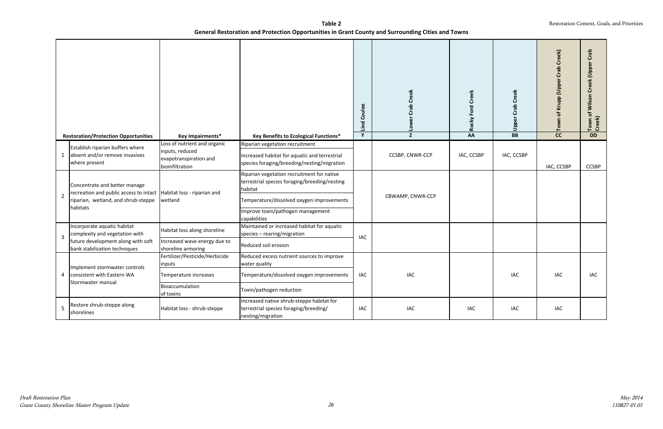|                | <b>Restoration/Protection Opportunities</b>                                                                    | Key Impairments*                                             | Key Benefits to Ecological Functions*                                                                                                               | Lind Coulee<br>$\overline{Y}$ | Crab Creek<br><b>No7</b><br>$\overline{z}$ | Rocky Ford Creek<br>AA | <b>Creek</b><br>$\mathbf{a}$<br>Cra<br>Upper<br>$\overline{BB}$ | Krupp (Upper Crab Creek)<br>$\mathbf{b}$<br>Town<br>$\overline{cc}$ | Town of Wilson Creek (Upper Crab<br>Creek)<br><b>DD</b> |
|----------------|----------------------------------------------------------------------------------------------------------------|--------------------------------------------------------------|-----------------------------------------------------------------------------------------------------------------------------------------------------|-------------------------------|--------------------------------------------|------------------------|-----------------------------------------------------------------|---------------------------------------------------------------------|---------------------------------------------------------|
|                |                                                                                                                | Loss of nutrient and organic                                 | Riparian vegetation recruitment                                                                                                                     |                               |                                            |                        |                                                                 |                                                                     |                                                         |
| 1              | Establish riparian buffers where<br>absent and/or remove invasives<br>where present                            | inputs, reduced<br>evapotranspiration and<br>bioinfiltration | Increased habitat for aquatic and terrestrial<br>species foraging/breeding/nesting/migration                                                        |                               | CCSBP, CNWR-CCP                            | IAC, CCSBP             | IAC, CCSBP                                                      | IAC, CCSBP                                                          | <b>CCSBP</b>                                            |
| $\overline{2}$ | Concentrate and better manage<br>recreation and public access to intact<br>riparian, wetland, and shrub-steppe | Habitat loss - riparian and<br>wetland                       | Riparian vegetation recruitment for native<br>terrestrial species foraging/breeding/nesting<br>habitat<br>Temperature/dissolved oxygen improvements |                               | CBWAMP, CNWR-CCP                           |                        |                                                                 |                                                                     |                                                         |
|                | habitats                                                                                                       |                                                              | Improve toxin/pathogen management<br>capabilities                                                                                                   |                               |                                            |                        |                                                                 |                                                                     |                                                         |
| 3              | Incorporate aquatic habitat<br>complexity and vegetation with                                                  | Habitat loss along shoreline                                 | Maintained or increased habitat for aquatic<br>species - rearing/migration                                                                          | IAC                           |                                            |                        |                                                                 |                                                                     |                                                         |
|                | future development along with soft<br>bank stabilization techniques                                            | Increased wave energy due to<br>shoreline armoring           | Reduced soil erosion                                                                                                                                |                               |                                            |                        |                                                                 |                                                                     |                                                         |
|                |                                                                                                                | Fertilizer/Pesticide/Herbicide<br>inputs                     | Reduced excess nutrient sources to improve<br>water quality                                                                                         |                               |                                            |                        |                                                                 |                                                                     |                                                         |
|                | Implement stormwater controls<br>consistent with Eastern WA                                                    | Temperature increases                                        | Temperature/dissolved oxygen improvements                                                                                                           | IAC                           | <b>IAC</b>                                 |                        | <b>IAC</b>                                                      | <b>IAC</b>                                                          | IAC                                                     |
|                | Stormwater manual                                                                                              | Bioaccumulation<br>of toxins                                 | Toxin/pathogen reduction                                                                                                                            |                               |                                            |                        |                                                                 |                                                                     |                                                         |
| .5             | Restore shrub-steppe along<br>shorelines                                                                       | Habitat loss - shrub-steppe                                  | Increased native shrub-steppe habitat for<br>terrestrial species foraging/breeding/<br>nesting/migration                                            | IAC                           | <b>IAC</b>                                 | IAC.                   | <b>IAC</b>                                                      | <b>IAC</b>                                                          |                                                         |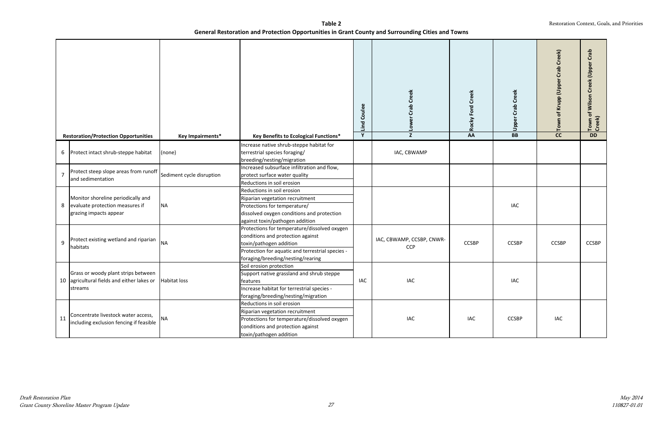|    | <b>Restoration/Protection Opportunities</b>                                                                   | <b>Key Impairments*</b>   | Key Benefits to Ecological Functions*                                                                                                                                                                 | Lind Coulee<br>Y | ab Creek<br>ū<br>Low<br>$\overline{z}$  | Rocky Ford Creek<br>AA | eek<br>ပ်<br>σ<br>ت<br>Upper<br>BB | b Creek)<br>ت<br>(Upper<br>Town<br>$\overline{cc}$ | Crab<br>Town of Wilson Creek (Upper<br>Creek)<br><b>DD</b> |
|----|---------------------------------------------------------------------------------------------------------------|---------------------------|-------------------------------------------------------------------------------------------------------------------------------------------------------------------------------------------------------|------------------|-----------------------------------------|------------------------|------------------------------------|----------------------------------------------------|------------------------------------------------------------|
| 6  | Protect intact shrub-steppe habitat                                                                           | (none)                    | Increase native shrub-steppe habitat for<br>terrestrial species foraging/<br>breeding/nesting/migration                                                                                               |                  | IAC, CBWAMP                             |                        |                                    |                                                    |                                                            |
| 7  | Protect steep slope areas from runoff<br>and sedimentation                                                    | Sediment cycle disruption | Increased subsurface infiltration and flow,<br>protect surface water quality<br>Reductions in soil erosion                                                                                            |                  |                                         |                        |                                    |                                                    |                                                            |
|    | Monitor shoreline periodically and<br>8 evaluate protection measures if<br>grazing impacts appear             | <b>NA</b>                 | Reductions in soil erosion<br>Riparian vegetation recruitment<br>Protections for temperature/<br>dissolved oxygen conditions and protection<br>against toxin/pathogen addition                        |                  |                                         |                        | <b>IAC</b>                         |                                                    |                                                            |
| 9  | Protect existing wetland and riparian<br>habitats                                                             | <b>NA</b>                 | Protections for temperature/dissolved oxygen<br>conditions and protection against<br>toxin/pathogen addition<br>Protection for aquatic and terrestrial species -<br>foraging/breeding/nesting/rearing |                  | IAC, CBWAMP, CCSBP, CNWR-<br><b>CCP</b> | <b>CCSBP</b>           | <b>CCSBP</b>                       | <b>CCSBP</b>                                       | <b>CCSBP</b>                                               |
|    | Grass or woody plant strips between<br>10   agricultural fields and either lakes or   Habitat loss<br>streams |                           | Soil erosion protection<br>Support native grassland and shrub steppe<br>reatures<br>Increase habitat for terrestrial species -<br>foraging/breeding/nesting/migration                                 | IAC              | IAC                                     |                        | <b>IAC</b>                         |                                                    |                                                            |
| 11 | Concentrate livestock water access,<br>including exclusion fencing if feasible                                | <b>NA</b>                 | Reductions in soil erosion<br>Riparian vegetation recruitment<br>Protections for temperature/dissolved oxygen<br>conditions and protection against<br>toxin/pathogen addition                         |                  | IAC                                     | IAC                    | <b>CCSBP</b>                       | IAC                                                |                                                            |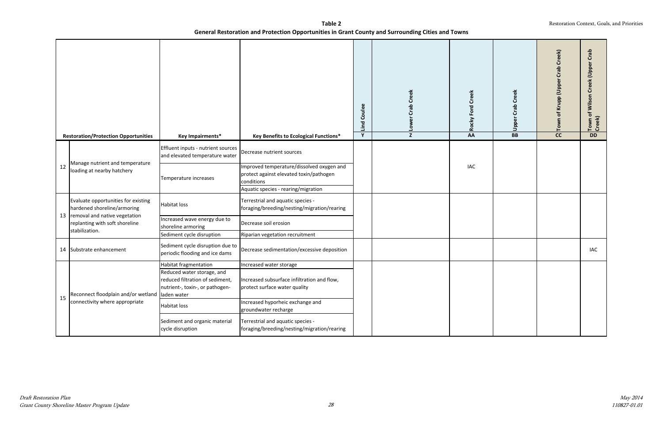|    |                                                                                      |                                                                                                                           |                                                                                                                         | Lind Coulee | Creek<br>ತಿ<br>ū<br><b>NOT</b> | <b>Rocky Ford Creek</b> | eek<br>င်<br>ത<br>ت<br>Upper | eek<br>Ğ<br>$\Omega$<br>ū<br><b>Oppo</b><br>Tow | Crab<br>Town of Wilson Creek (Upper<br>Creek) |
|----|--------------------------------------------------------------------------------------|---------------------------------------------------------------------------------------------------------------------------|-------------------------------------------------------------------------------------------------------------------------|-------------|--------------------------------|-------------------------|------------------------------|-------------------------------------------------|-----------------------------------------------|
|    | <b>Restoration/Protection Opportunities</b>                                          | Key Impairments*                                                                                                          | <b>Key Benefits to Ecological Functions*</b>                                                                            | Y           | $\overline{z}$                 | AA                      | $\overline{BB}$              | $\overline{cc}$                                 | <b>DD</b>                                     |
|    |                                                                                      | Effluent inputs - nutrient sources<br>and elevated temperature water                                                      | Decrease nutrient sources                                                                                               |             |                                |                         |                              |                                                 |                                               |
| 12 | Manage nutrient and temperature<br>loading at nearby hatchery                        | Temperature increases                                                                                                     | Improved temperature/dissolved oxygen and<br>protect against elevated toxin/pathogen<br>conditions                      |             |                                | <b>IAC</b>              |                              |                                                 |                                               |
|    | Evaluate opportunities for existing<br>hardened shoreline/armoring                   | Habitat loss                                                                                                              | Aquatic species - rearing/migration<br>Terrestrial and aquatic species -<br>foraging/breeding/nesting/migration/rearing |             |                                |                         |                              |                                                 |                                               |
|    | 13 removal and native vegetation<br>replanting with soft shoreline<br>stabilization. | Increased wave energy due to<br>shoreline armoring                                                                        | Decrease soil erosion                                                                                                   |             |                                |                         |                              |                                                 |                                               |
|    |                                                                                      | Sediment cycle disruption                                                                                                 | Riparian vegetation recruitment                                                                                         |             |                                |                         |                              |                                                 |                                               |
|    | 14 Substrate enhancement                                                             | Sediment cycle disruption due to<br>periodic flooding and ice dams                                                        | Decrease sedimentation/excessive deposition                                                                             |             |                                |                         |                              |                                                 | IAC                                           |
| 15 | Reconnect floodplain and/or wetland   laden water                                    | Habitat fragmentation<br>Reduced water storage, and<br>reduced filtration of sediment,<br>nutrient-, toxin-, or pathogen- | Increased water storage<br>Increased subsurface infiltration and flow,<br>protect surface water quality                 |             |                                |                         |                              |                                                 |                                               |
|    | connectivity where appropriate                                                       | Habitat loss                                                                                                              | Increased hyporheic exchange and<br>groundwater recharge                                                                |             |                                |                         |                              |                                                 |                                               |
|    |                                                                                      | Sediment and organic material<br>cycle disruption                                                                         | Terrestrial and aquatic species -<br>foraging/breeding/nesting/migration/rearing                                        |             |                                |                         |                              |                                                 |                                               |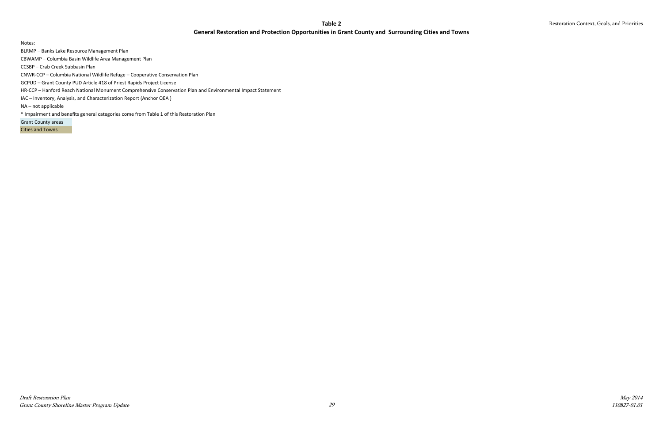#### **Table 2**

#### **General Restoration and Protection Opportunities in Grant County and Surrounding Cities and Towns**

Restoration Context, Goals, and Priorities

May 2014 110827-01.01

Notes:

BLRMP – Banks Lake Resource Management Plan

CBWAMP – Columbia Basin Wildlife Area Management Plan

CCSBP – Crab Creek Subbasin Plan

CNWR-CCP – Columbia National Wildlife Refuge – Cooperative Conservation Plan

GCPUD – Grant County PUD Article 418 of Priest Rapids Project License

HR-CCP – Hanford Reach National Monument Comprehensive Conservation Plan and Environmental Impact Statement

IAC – Inventory, Analysis, and Characterization Report (Anchor QEA )

NA – not applicable

\* Impairment and benefits general categories come from Table 1 of this Restoration Plan

Grant County areas

Cities and Towns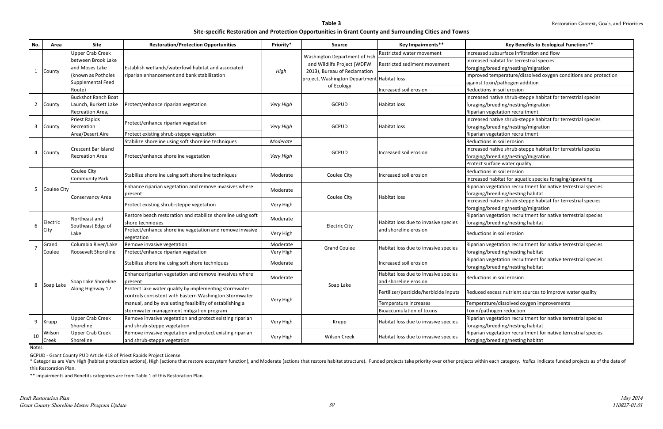\* Categories are Very High (habitat protection actions), High (actions that restore ecosystem function), and Moderate (actions that restore habitat structure). Funded projects take priority over other projects within each this Restoration Plan.

| Upper Crab Creek<br>Increased subsurface infiltration and flow<br>Restricted water movement<br>Washington Department of Fish<br>between Brook Lake<br>Increased habitat for terrestrial species<br>and Wildlife Project (WDFW<br>Restricted sediment movement<br>and Moses Lake<br>Establish wetlands/waterfowl habitat and associated<br>foraging/breeding/nesting/migration<br>2013), Bureau of Reclamation<br>High<br>County<br>(known as Potholes<br>riparian enhancement and bank stabilization<br>project, Washington Department Habitat loss<br>Supplemental Feed<br>against toxin/pathogen addition<br>of Ecology<br>Increased soil erosion<br>Reductions in soil erosion<br>Route)<br><b>Buckshot Ranch Boat</b><br>Increased native shrub-steppe habitat for terrestrial species<br>Launch, Burkett Lake<br><b>GCPUD</b><br>Protect/enhance riparian vegetation<br>Very High<br><b>Habitat loss</b><br>foraging/breeding/nesting/migration<br>2<br>County<br>Recreation Area,<br>Riparian vegetation recruitment<br>Priest Rapids<br>Increased native shrub-steppe habitat for terrestrial species<br>Protect/enhance riparian vegetation<br><b>GCPUD</b><br>3<br>foraging/breeding/nesting/migration<br>County<br>Recreation<br>Very High<br><b>Habitat loss</b><br>Area/Desert Aire<br>Protect existing shrub-steppe vegetation<br>Riparian vegetation recruitment<br>Stabilize shoreline using soft shoreline techniques<br>Moderate<br>Reductions in soil erosion<br>Crescent Bar Island<br>Increased native shrub-steppe habitat for terrestrial species<br><b>GCPUD</b><br>County<br>Increased soil erosion<br>Protect/enhance shoreline vegetation<br><b>Recreation Area</b><br>Very High<br>foraging/breeding/nesting/migration<br>Protect surface water quality<br>Coulee City<br>Reductions in soil erosion<br>Stabilize shoreline using soft shoreline techniques<br>Coulee City<br>Moderate<br>Increased soil erosion<br><b>Community Park</b><br>Increased habitat for aquatic species foraging/spawning<br>Enhance riparian vegetation and remove invasives where<br>Riparian vegetation recruitment for native terrestrial species<br><b>Coulee City</b><br>5<br>Moderate<br>foraging/breeding/nesting habitat<br>present<br>Coulee City<br><b>Habitat loss</b><br>Conservancy Area<br>Increased native shrub-steppe habitat for terrestrial species<br>Protect existing shrub-steppe vegetation<br>Very High<br>foraging/breeding/nesting/migration<br>Restore beach restoration and stabilize shoreline using soft<br>Riparian vegetation recruitment for native terrestrial species<br>Northeast and<br>Moderate<br>Electric<br>Habitat loss due to invasive species<br>shore techniques<br>foraging/breeding/nesting habitat<br>6<br>Southeast Edge of<br><b>Electric City</b><br>Protect/enhance shoreline vegetation and remove invasive<br>and shoreline erosion<br>City<br>Lake<br>Very High<br>Reductions in soil erosion<br>vegetation<br>Columbia River/Lake<br>Remove invasive vegetation<br>Riparian vegetation recruitment for native terrestrial species<br>Moderate<br>Grand<br><b>Grand Coulee</b><br>Habitat loss due to invasive species<br>Roosevelt Shoreline<br>Coulee<br>foraging/breeding/nesting habitat<br>Protect/enhance riparian vegetation<br>Very High<br>Riparian vegetation recruitment for native terrestrial species<br>Stabilize shoreline using soft shore techniques<br>Increased soil erosion<br>Moderate<br>foraging/breeding/nesting habitat<br>Enhance riparian vegetation and remove invasives where<br>Habitat loss due to invasive species<br>Moderate<br>Reductions in soil erosion<br>and shoreline erosion<br>Soap Lake Shoreline<br>present<br>8<br>Soap Lake<br>Soap Lake<br>Protect lake water quality by implementing stormwater<br>Along Highway 17<br>Fertilizer/pesticide/herbicide inputs<br>Reduced excess nutrient sources to improve water quality<br>controls consistent with Eastern Washington Stormwater<br>Very High<br>manual, and by evaluating feasibility of establishing a<br>Temperature/dissolved oxygen improvements<br>Temperature increases | No. | Area | <b>Site</b> | <b>Restoration/Protection Opportunities</b> | Priority* | Source | Key Impairments**                | <b>Key Benefits to Ecological Functions**</b>                   |
|------------------------------------------------------------------------------------------------------------------------------------------------------------------------------------------------------------------------------------------------------------------------------------------------------------------------------------------------------------------------------------------------------------------------------------------------------------------------------------------------------------------------------------------------------------------------------------------------------------------------------------------------------------------------------------------------------------------------------------------------------------------------------------------------------------------------------------------------------------------------------------------------------------------------------------------------------------------------------------------------------------------------------------------------------------------------------------------------------------------------------------------------------------------------------------------------------------------------------------------------------------------------------------------------------------------------------------------------------------------------------------------------------------------------------------------------------------------------------------------------------------------------------------------------------------------------------------------------------------------------------------------------------------------------------------------------------------------------------------------------------------------------------------------------------------------------------------------------------------------------------------------------------------------------------------------------------------------------------------------------------------------------------------------------------------------------------------------------------------------------------------------------------------------------------------------------------------------------------------------------------------------------------------------------------------------------------------------------------------------------------------------------------------------------------------------------------------------------------------------------------------------------------------------------------------------------------------------------------------------------------------------------------------------------------------------------------------------------------------------------------------------------------------------------------------------------------------------------------------------------------------------------------------------------------------------------------------------------------------------------------------------------------------------------------------------------------------------------------------------------------------------------------------------------------------------------------------------------------------------------------------------------------------------------------------------------------------------------------------------------------------------------------------------------------------------------------------------------------------------------------------------------------------------------------------------------------------------------------------------------------------------------------------------------------------------------------------------------------------------------------------------------------------------------------------------------------------------------------------------------------------------------------------------------------------------------------------------------------------------------------------------------------------------------------------------------------------------------------------------------------------------------|-----|------|-------------|---------------------------------------------|-----------|--------|----------------------------------|-----------------------------------------------------------------|
|                                                                                                                                                                                                                                                                                                                                                                                                                                                                                                                                                                                                                                                                                                                                                                                                                                                                                                                                                                                                                                                                                                                                                                                                                                                                                                                                                                                                                                                                                                                                                                                                                                                                                                                                                                                                                                                                                                                                                                                                                                                                                                                                                                                                                                                                                                                                                                                                                                                                                                                                                                                                                                                                                                                                                                                                                                                                                                                                                                                                                                                                                                                                                                                                                                                                                                                                                                                                                                                                                                                                                                                                                                                                                                                                                                                                                                                                                                                                                                                                                                                                                                                                                |     |      |             |                                             |           |        |                                  |                                                                 |
|                                                                                                                                                                                                                                                                                                                                                                                                                                                                                                                                                                                                                                                                                                                                                                                                                                                                                                                                                                                                                                                                                                                                                                                                                                                                                                                                                                                                                                                                                                                                                                                                                                                                                                                                                                                                                                                                                                                                                                                                                                                                                                                                                                                                                                                                                                                                                                                                                                                                                                                                                                                                                                                                                                                                                                                                                                                                                                                                                                                                                                                                                                                                                                                                                                                                                                                                                                                                                                                                                                                                                                                                                                                                                                                                                                                                                                                                                                                                                                                                                                                                                                                                                |     |      |             |                                             |           |        |                                  |                                                                 |
|                                                                                                                                                                                                                                                                                                                                                                                                                                                                                                                                                                                                                                                                                                                                                                                                                                                                                                                                                                                                                                                                                                                                                                                                                                                                                                                                                                                                                                                                                                                                                                                                                                                                                                                                                                                                                                                                                                                                                                                                                                                                                                                                                                                                                                                                                                                                                                                                                                                                                                                                                                                                                                                                                                                                                                                                                                                                                                                                                                                                                                                                                                                                                                                                                                                                                                                                                                                                                                                                                                                                                                                                                                                                                                                                                                                                                                                                                                                                                                                                                                                                                                                                                |     |      |             |                                             |           |        |                                  |                                                                 |
|                                                                                                                                                                                                                                                                                                                                                                                                                                                                                                                                                                                                                                                                                                                                                                                                                                                                                                                                                                                                                                                                                                                                                                                                                                                                                                                                                                                                                                                                                                                                                                                                                                                                                                                                                                                                                                                                                                                                                                                                                                                                                                                                                                                                                                                                                                                                                                                                                                                                                                                                                                                                                                                                                                                                                                                                                                                                                                                                                                                                                                                                                                                                                                                                                                                                                                                                                                                                                                                                                                                                                                                                                                                                                                                                                                                                                                                                                                                                                                                                                                                                                                                                                |     |      |             |                                             |           |        |                                  | Improved temperature/dissolved oxygen conditions and protection |
|                                                                                                                                                                                                                                                                                                                                                                                                                                                                                                                                                                                                                                                                                                                                                                                                                                                                                                                                                                                                                                                                                                                                                                                                                                                                                                                                                                                                                                                                                                                                                                                                                                                                                                                                                                                                                                                                                                                                                                                                                                                                                                                                                                                                                                                                                                                                                                                                                                                                                                                                                                                                                                                                                                                                                                                                                                                                                                                                                                                                                                                                                                                                                                                                                                                                                                                                                                                                                                                                                                                                                                                                                                                                                                                                                                                                                                                                                                                                                                                                                                                                                                                                                |     |      |             |                                             |           |        |                                  |                                                                 |
|                                                                                                                                                                                                                                                                                                                                                                                                                                                                                                                                                                                                                                                                                                                                                                                                                                                                                                                                                                                                                                                                                                                                                                                                                                                                                                                                                                                                                                                                                                                                                                                                                                                                                                                                                                                                                                                                                                                                                                                                                                                                                                                                                                                                                                                                                                                                                                                                                                                                                                                                                                                                                                                                                                                                                                                                                                                                                                                                                                                                                                                                                                                                                                                                                                                                                                                                                                                                                                                                                                                                                                                                                                                                                                                                                                                                                                                                                                                                                                                                                                                                                                                                                |     |      |             |                                             |           |        |                                  |                                                                 |
|                                                                                                                                                                                                                                                                                                                                                                                                                                                                                                                                                                                                                                                                                                                                                                                                                                                                                                                                                                                                                                                                                                                                                                                                                                                                                                                                                                                                                                                                                                                                                                                                                                                                                                                                                                                                                                                                                                                                                                                                                                                                                                                                                                                                                                                                                                                                                                                                                                                                                                                                                                                                                                                                                                                                                                                                                                                                                                                                                                                                                                                                                                                                                                                                                                                                                                                                                                                                                                                                                                                                                                                                                                                                                                                                                                                                                                                                                                                                                                                                                                                                                                                                                |     |      |             |                                             |           |        |                                  |                                                                 |
|                                                                                                                                                                                                                                                                                                                                                                                                                                                                                                                                                                                                                                                                                                                                                                                                                                                                                                                                                                                                                                                                                                                                                                                                                                                                                                                                                                                                                                                                                                                                                                                                                                                                                                                                                                                                                                                                                                                                                                                                                                                                                                                                                                                                                                                                                                                                                                                                                                                                                                                                                                                                                                                                                                                                                                                                                                                                                                                                                                                                                                                                                                                                                                                                                                                                                                                                                                                                                                                                                                                                                                                                                                                                                                                                                                                                                                                                                                                                                                                                                                                                                                                                                |     |      |             |                                             |           |        |                                  |                                                                 |
|                                                                                                                                                                                                                                                                                                                                                                                                                                                                                                                                                                                                                                                                                                                                                                                                                                                                                                                                                                                                                                                                                                                                                                                                                                                                                                                                                                                                                                                                                                                                                                                                                                                                                                                                                                                                                                                                                                                                                                                                                                                                                                                                                                                                                                                                                                                                                                                                                                                                                                                                                                                                                                                                                                                                                                                                                                                                                                                                                                                                                                                                                                                                                                                                                                                                                                                                                                                                                                                                                                                                                                                                                                                                                                                                                                                                                                                                                                                                                                                                                                                                                                                                                |     |      |             |                                             |           |        |                                  |                                                                 |
|                                                                                                                                                                                                                                                                                                                                                                                                                                                                                                                                                                                                                                                                                                                                                                                                                                                                                                                                                                                                                                                                                                                                                                                                                                                                                                                                                                                                                                                                                                                                                                                                                                                                                                                                                                                                                                                                                                                                                                                                                                                                                                                                                                                                                                                                                                                                                                                                                                                                                                                                                                                                                                                                                                                                                                                                                                                                                                                                                                                                                                                                                                                                                                                                                                                                                                                                                                                                                                                                                                                                                                                                                                                                                                                                                                                                                                                                                                                                                                                                                                                                                                                                                |     |      |             |                                             |           |        |                                  |                                                                 |
|                                                                                                                                                                                                                                                                                                                                                                                                                                                                                                                                                                                                                                                                                                                                                                                                                                                                                                                                                                                                                                                                                                                                                                                                                                                                                                                                                                                                                                                                                                                                                                                                                                                                                                                                                                                                                                                                                                                                                                                                                                                                                                                                                                                                                                                                                                                                                                                                                                                                                                                                                                                                                                                                                                                                                                                                                                                                                                                                                                                                                                                                                                                                                                                                                                                                                                                                                                                                                                                                                                                                                                                                                                                                                                                                                                                                                                                                                                                                                                                                                                                                                                                                                |     |      |             |                                             |           |        |                                  |                                                                 |
|                                                                                                                                                                                                                                                                                                                                                                                                                                                                                                                                                                                                                                                                                                                                                                                                                                                                                                                                                                                                                                                                                                                                                                                                                                                                                                                                                                                                                                                                                                                                                                                                                                                                                                                                                                                                                                                                                                                                                                                                                                                                                                                                                                                                                                                                                                                                                                                                                                                                                                                                                                                                                                                                                                                                                                                                                                                                                                                                                                                                                                                                                                                                                                                                                                                                                                                                                                                                                                                                                                                                                                                                                                                                                                                                                                                                                                                                                                                                                                                                                                                                                                                                                |     |      |             |                                             |           |        |                                  |                                                                 |
|                                                                                                                                                                                                                                                                                                                                                                                                                                                                                                                                                                                                                                                                                                                                                                                                                                                                                                                                                                                                                                                                                                                                                                                                                                                                                                                                                                                                                                                                                                                                                                                                                                                                                                                                                                                                                                                                                                                                                                                                                                                                                                                                                                                                                                                                                                                                                                                                                                                                                                                                                                                                                                                                                                                                                                                                                                                                                                                                                                                                                                                                                                                                                                                                                                                                                                                                                                                                                                                                                                                                                                                                                                                                                                                                                                                                                                                                                                                                                                                                                                                                                                                                                |     |      |             |                                             |           |        |                                  |                                                                 |
|                                                                                                                                                                                                                                                                                                                                                                                                                                                                                                                                                                                                                                                                                                                                                                                                                                                                                                                                                                                                                                                                                                                                                                                                                                                                                                                                                                                                                                                                                                                                                                                                                                                                                                                                                                                                                                                                                                                                                                                                                                                                                                                                                                                                                                                                                                                                                                                                                                                                                                                                                                                                                                                                                                                                                                                                                                                                                                                                                                                                                                                                                                                                                                                                                                                                                                                                                                                                                                                                                                                                                                                                                                                                                                                                                                                                                                                                                                                                                                                                                                                                                                                                                |     |      |             |                                             |           |        |                                  |                                                                 |
|                                                                                                                                                                                                                                                                                                                                                                                                                                                                                                                                                                                                                                                                                                                                                                                                                                                                                                                                                                                                                                                                                                                                                                                                                                                                                                                                                                                                                                                                                                                                                                                                                                                                                                                                                                                                                                                                                                                                                                                                                                                                                                                                                                                                                                                                                                                                                                                                                                                                                                                                                                                                                                                                                                                                                                                                                                                                                                                                                                                                                                                                                                                                                                                                                                                                                                                                                                                                                                                                                                                                                                                                                                                                                                                                                                                                                                                                                                                                                                                                                                                                                                                                                |     |      |             |                                             |           |        |                                  |                                                                 |
|                                                                                                                                                                                                                                                                                                                                                                                                                                                                                                                                                                                                                                                                                                                                                                                                                                                                                                                                                                                                                                                                                                                                                                                                                                                                                                                                                                                                                                                                                                                                                                                                                                                                                                                                                                                                                                                                                                                                                                                                                                                                                                                                                                                                                                                                                                                                                                                                                                                                                                                                                                                                                                                                                                                                                                                                                                                                                                                                                                                                                                                                                                                                                                                                                                                                                                                                                                                                                                                                                                                                                                                                                                                                                                                                                                                                                                                                                                                                                                                                                                                                                                                                                |     |      |             |                                             |           |        |                                  |                                                                 |
|                                                                                                                                                                                                                                                                                                                                                                                                                                                                                                                                                                                                                                                                                                                                                                                                                                                                                                                                                                                                                                                                                                                                                                                                                                                                                                                                                                                                                                                                                                                                                                                                                                                                                                                                                                                                                                                                                                                                                                                                                                                                                                                                                                                                                                                                                                                                                                                                                                                                                                                                                                                                                                                                                                                                                                                                                                                                                                                                                                                                                                                                                                                                                                                                                                                                                                                                                                                                                                                                                                                                                                                                                                                                                                                                                                                                                                                                                                                                                                                                                                                                                                                                                |     |      |             |                                             |           |        |                                  |                                                                 |
|                                                                                                                                                                                                                                                                                                                                                                                                                                                                                                                                                                                                                                                                                                                                                                                                                                                                                                                                                                                                                                                                                                                                                                                                                                                                                                                                                                                                                                                                                                                                                                                                                                                                                                                                                                                                                                                                                                                                                                                                                                                                                                                                                                                                                                                                                                                                                                                                                                                                                                                                                                                                                                                                                                                                                                                                                                                                                                                                                                                                                                                                                                                                                                                                                                                                                                                                                                                                                                                                                                                                                                                                                                                                                                                                                                                                                                                                                                                                                                                                                                                                                                                                                |     |      |             |                                             |           |        |                                  |                                                                 |
|                                                                                                                                                                                                                                                                                                                                                                                                                                                                                                                                                                                                                                                                                                                                                                                                                                                                                                                                                                                                                                                                                                                                                                                                                                                                                                                                                                                                                                                                                                                                                                                                                                                                                                                                                                                                                                                                                                                                                                                                                                                                                                                                                                                                                                                                                                                                                                                                                                                                                                                                                                                                                                                                                                                                                                                                                                                                                                                                                                                                                                                                                                                                                                                                                                                                                                                                                                                                                                                                                                                                                                                                                                                                                                                                                                                                                                                                                                                                                                                                                                                                                                                                                |     |      |             |                                             |           |        |                                  |                                                                 |
|                                                                                                                                                                                                                                                                                                                                                                                                                                                                                                                                                                                                                                                                                                                                                                                                                                                                                                                                                                                                                                                                                                                                                                                                                                                                                                                                                                                                                                                                                                                                                                                                                                                                                                                                                                                                                                                                                                                                                                                                                                                                                                                                                                                                                                                                                                                                                                                                                                                                                                                                                                                                                                                                                                                                                                                                                                                                                                                                                                                                                                                                                                                                                                                                                                                                                                                                                                                                                                                                                                                                                                                                                                                                                                                                                                                                                                                                                                                                                                                                                                                                                                                                                |     |      |             |                                             |           |        |                                  |                                                                 |
|                                                                                                                                                                                                                                                                                                                                                                                                                                                                                                                                                                                                                                                                                                                                                                                                                                                                                                                                                                                                                                                                                                                                                                                                                                                                                                                                                                                                                                                                                                                                                                                                                                                                                                                                                                                                                                                                                                                                                                                                                                                                                                                                                                                                                                                                                                                                                                                                                                                                                                                                                                                                                                                                                                                                                                                                                                                                                                                                                                                                                                                                                                                                                                                                                                                                                                                                                                                                                                                                                                                                                                                                                                                                                                                                                                                                                                                                                                                                                                                                                                                                                                                                                |     |      |             |                                             |           |        |                                  |                                                                 |
|                                                                                                                                                                                                                                                                                                                                                                                                                                                                                                                                                                                                                                                                                                                                                                                                                                                                                                                                                                                                                                                                                                                                                                                                                                                                                                                                                                                                                                                                                                                                                                                                                                                                                                                                                                                                                                                                                                                                                                                                                                                                                                                                                                                                                                                                                                                                                                                                                                                                                                                                                                                                                                                                                                                                                                                                                                                                                                                                                                                                                                                                                                                                                                                                                                                                                                                                                                                                                                                                                                                                                                                                                                                                                                                                                                                                                                                                                                                                                                                                                                                                                                                                                |     |      |             |                                             |           |        |                                  |                                                                 |
|                                                                                                                                                                                                                                                                                                                                                                                                                                                                                                                                                                                                                                                                                                                                                                                                                                                                                                                                                                                                                                                                                                                                                                                                                                                                                                                                                                                                                                                                                                                                                                                                                                                                                                                                                                                                                                                                                                                                                                                                                                                                                                                                                                                                                                                                                                                                                                                                                                                                                                                                                                                                                                                                                                                                                                                                                                                                                                                                                                                                                                                                                                                                                                                                                                                                                                                                                                                                                                                                                                                                                                                                                                                                                                                                                                                                                                                                                                                                                                                                                                                                                                                                                |     |      |             |                                             |           |        |                                  |                                                                 |
|                                                                                                                                                                                                                                                                                                                                                                                                                                                                                                                                                                                                                                                                                                                                                                                                                                                                                                                                                                                                                                                                                                                                                                                                                                                                                                                                                                                                                                                                                                                                                                                                                                                                                                                                                                                                                                                                                                                                                                                                                                                                                                                                                                                                                                                                                                                                                                                                                                                                                                                                                                                                                                                                                                                                                                                                                                                                                                                                                                                                                                                                                                                                                                                                                                                                                                                                                                                                                                                                                                                                                                                                                                                                                                                                                                                                                                                                                                                                                                                                                                                                                                                                                |     |      |             |                                             |           |        |                                  |                                                                 |
|                                                                                                                                                                                                                                                                                                                                                                                                                                                                                                                                                                                                                                                                                                                                                                                                                                                                                                                                                                                                                                                                                                                                                                                                                                                                                                                                                                                                                                                                                                                                                                                                                                                                                                                                                                                                                                                                                                                                                                                                                                                                                                                                                                                                                                                                                                                                                                                                                                                                                                                                                                                                                                                                                                                                                                                                                                                                                                                                                                                                                                                                                                                                                                                                                                                                                                                                                                                                                                                                                                                                                                                                                                                                                                                                                                                                                                                                                                                                                                                                                                                                                                                                                |     |      |             |                                             |           |        |                                  |                                                                 |
|                                                                                                                                                                                                                                                                                                                                                                                                                                                                                                                                                                                                                                                                                                                                                                                                                                                                                                                                                                                                                                                                                                                                                                                                                                                                                                                                                                                                                                                                                                                                                                                                                                                                                                                                                                                                                                                                                                                                                                                                                                                                                                                                                                                                                                                                                                                                                                                                                                                                                                                                                                                                                                                                                                                                                                                                                                                                                                                                                                                                                                                                                                                                                                                                                                                                                                                                                                                                                                                                                                                                                                                                                                                                                                                                                                                                                                                                                                                                                                                                                                                                                                                                                |     |      |             |                                             |           |        |                                  |                                                                 |
|                                                                                                                                                                                                                                                                                                                                                                                                                                                                                                                                                                                                                                                                                                                                                                                                                                                                                                                                                                                                                                                                                                                                                                                                                                                                                                                                                                                                                                                                                                                                                                                                                                                                                                                                                                                                                                                                                                                                                                                                                                                                                                                                                                                                                                                                                                                                                                                                                                                                                                                                                                                                                                                                                                                                                                                                                                                                                                                                                                                                                                                                                                                                                                                                                                                                                                                                                                                                                                                                                                                                                                                                                                                                                                                                                                                                                                                                                                                                                                                                                                                                                                                                                |     |      |             |                                             |           |        |                                  |                                                                 |
|                                                                                                                                                                                                                                                                                                                                                                                                                                                                                                                                                                                                                                                                                                                                                                                                                                                                                                                                                                                                                                                                                                                                                                                                                                                                                                                                                                                                                                                                                                                                                                                                                                                                                                                                                                                                                                                                                                                                                                                                                                                                                                                                                                                                                                                                                                                                                                                                                                                                                                                                                                                                                                                                                                                                                                                                                                                                                                                                                                                                                                                                                                                                                                                                                                                                                                                                                                                                                                                                                                                                                                                                                                                                                                                                                                                                                                                                                                                                                                                                                                                                                                                                                |     |      |             |                                             |           |        |                                  |                                                                 |
|                                                                                                                                                                                                                                                                                                                                                                                                                                                                                                                                                                                                                                                                                                                                                                                                                                                                                                                                                                                                                                                                                                                                                                                                                                                                                                                                                                                                                                                                                                                                                                                                                                                                                                                                                                                                                                                                                                                                                                                                                                                                                                                                                                                                                                                                                                                                                                                                                                                                                                                                                                                                                                                                                                                                                                                                                                                                                                                                                                                                                                                                                                                                                                                                                                                                                                                                                                                                                                                                                                                                                                                                                                                                                                                                                                                                                                                                                                                                                                                                                                                                                                                                                |     |      |             |                                             |           |        |                                  |                                                                 |
|                                                                                                                                                                                                                                                                                                                                                                                                                                                                                                                                                                                                                                                                                                                                                                                                                                                                                                                                                                                                                                                                                                                                                                                                                                                                                                                                                                                                                                                                                                                                                                                                                                                                                                                                                                                                                                                                                                                                                                                                                                                                                                                                                                                                                                                                                                                                                                                                                                                                                                                                                                                                                                                                                                                                                                                                                                                                                                                                                                                                                                                                                                                                                                                                                                                                                                                                                                                                                                                                                                                                                                                                                                                                                                                                                                                                                                                                                                                                                                                                                                                                                                                                                |     |      |             |                                             |           |        |                                  |                                                                 |
|                                                                                                                                                                                                                                                                                                                                                                                                                                                                                                                                                                                                                                                                                                                                                                                                                                                                                                                                                                                                                                                                                                                                                                                                                                                                                                                                                                                                                                                                                                                                                                                                                                                                                                                                                                                                                                                                                                                                                                                                                                                                                                                                                                                                                                                                                                                                                                                                                                                                                                                                                                                                                                                                                                                                                                                                                                                                                                                                                                                                                                                                                                                                                                                                                                                                                                                                                                                                                                                                                                                                                                                                                                                                                                                                                                                                                                                                                                                                                                                                                                                                                                                                                |     |      |             |                                             |           |        |                                  |                                                                 |
|                                                                                                                                                                                                                                                                                                                                                                                                                                                                                                                                                                                                                                                                                                                                                                                                                                                                                                                                                                                                                                                                                                                                                                                                                                                                                                                                                                                                                                                                                                                                                                                                                                                                                                                                                                                                                                                                                                                                                                                                                                                                                                                                                                                                                                                                                                                                                                                                                                                                                                                                                                                                                                                                                                                                                                                                                                                                                                                                                                                                                                                                                                                                                                                                                                                                                                                                                                                                                                                                                                                                                                                                                                                                                                                                                                                                                                                                                                                                                                                                                                                                                                                                                |     |      |             |                                             |           |        |                                  |                                                                 |
|                                                                                                                                                                                                                                                                                                                                                                                                                                                                                                                                                                                                                                                                                                                                                                                                                                                                                                                                                                                                                                                                                                                                                                                                                                                                                                                                                                                                                                                                                                                                                                                                                                                                                                                                                                                                                                                                                                                                                                                                                                                                                                                                                                                                                                                                                                                                                                                                                                                                                                                                                                                                                                                                                                                                                                                                                                                                                                                                                                                                                                                                                                                                                                                                                                                                                                                                                                                                                                                                                                                                                                                                                                                                                                                                                                                                                                                                                                                                                                                                                                                                                                                                                |     |      |             |                                             |           |        |                                  |                                                                 |
|                                                                                                                                                                                                                                                                                                                                                                                                                                                                                                                                                                                                                                                                                                                                                                                                                                                                                                                                                                                                                                                                                                                                                                                                                                                                                                                                                                                                                                                                                                                                                                                                                                                                                                                                                                                                                                                                                                                                                                                                                                                                                                                                                                                                                                                                                                                                                                                                                                                                                                                                                                                                                                                                                                                                                                                                                                                                                                                                                                                                                                                                                                                                                                                                                                                                                                                                                                                                                                                                                                                                                                                                                                                                                                                                                                                                                                                                                                                                                                                                                                                                                                                                                |     |      |             |                                             |           |        |                                  |                                                                 |
|                                                                                                                                                                                                                                                                                                                                                                                                                                                                                                                                                                                                                                                                                                                                                                                                                                                                                                                                                                                                                                                                                                                                                                                                                                                                                                                                                                                                                                                                                                                                                                                                                                                                                                                                                                                                                                                                                                                                                                                                                                                                                                                                                                                                                                                                                                                                                                                                                                                                                                                                                                                                                                                                                                                                                                                                                                                                                                                                                                                                                                                                                                                                                                                                                                                                                                                                                                                                                                                                                                                                                                                                                                                                                                                                                                                                                                                                                                                                                                                                                                                                                                                                                |     |      |             |                                             |           |        |                                  |                                                                 |
|                                                                                                                                                                                                                                                                                                                                                                                                                                                                                                                                                                                                                                                                                                                                                                                                                                                                                                                                                                                                                                                                                                                                                                                                                                                                                                                                                                                                                                                                                                                                                                                                                                                                                                                                                                                                                                                                                                                                                                                                                                                                                                                                                                                                                                                                                                                                                                                                                                                                                                                                                                                                                                                                                                                                                                                                                                                                                                                                                                                                                                                                                                                                                                                                                                                                                                                                                                                                                                                                                                                                                                                                                                                                                                                                                                                                                                                                                                                                                                                                                                                                                                                                                |     |      |             | stormwater management mitigation program    |           |        | <b>Bioaccumulation of toxins</b> | Toxin/pathogen reduction                                        |
| Riparian vegetation recruitment for native terrestrial species<br><b>Upper Crab Creek</b><br>Remove invasive vegetation and protect existing riparian                                                                                                                                                                                                                                                                                                                                                                                                                                                                                                                                                                                                                                                                                                                                                                                                                                                                                                                                                                                                                                                                                                                                                                                                                                                                                                                                                                                                                                                                                                                                                                                                                                                                                                                                                                                                                                                                                                                                                                                                                                                                                                                                                                                                                                                                                                                                                                                                                                                                                                                                                                                                                                                                                                                                                                                                                                                                                                                                                                                                                                                                                                                                                                                                                                                                                                                                                                                                                                                                                                                                                                                                                                                                                                                                                                                                                                                                                                                                                                                          |     |      |             |                                             |           |        |                                  |                                                                 |
| 9<br>Very High<br>Habitat loss due to invasive species<br>Krupp<br>Krupp<br>Shoreline<br>and shrub-steppe vegetation<br>foraging/breeding/nesting habitat                                                                                                                                                                                                                                                                                                                                                                                                                                                                                                                                                                                                                                                                                                                                                                                                                                                                                                                                                                                                                                                                                                                                                                                                                                                                                                                                                                                                                                                                                                                                                                                                                                                                                                                                                                                                                                                                                                                                                                                                                                                                                                                                                                                                                                                                                                                                                                                                                                                                                                                                                                                                                                                                                                                                                                                                                                                                                                                                                                                                                                                                                                                                                                                                                                                                                                                                                                                                                                                                                                                                                                                                                                                                                                                                                                                                                                                                                                                                                                                      |     |      |             |                                             |           |        |                                  |                                                                 |
| Wilson<br><b>Upper Crab Creek</b><br>Remove invasive vegetation and protect existing riparian<br>Riparian vegetation recruitment for native terrestrial species                                                                                                                                                                                                                                                                                                                                                                                                                                                                                                                                                                                                                                                                                                                                                                                                                                                                                                                                                                                                                                                                                                                                                                                                                                                                                                                                                                                                                                                                                                                                                                                                                                                                                                                                                                                                                                                                                                                                                                                                                                                                                                                                                                                                                                                                                                                                                                                                                                                                                                                                                                                                                                                                                                                                                                                                                                                                                                                                                                                                                                                                                                                                                                                                                                                                                                                                                                                                                                                                                                                                                                                                                                                                                                                                                                                                                                                                                                                                                                                |     |      |             |                                             |           |        |                                  |                                                                 |
| Very High<br>Wilson Creek<br>Habitat loss due to invasive species<br>-10<br>Creek<br>Shoreline<br>and shrub-steppe vegetation<br>foraging/breeding/nesting habitat                                                                                                                                                                                                                                                                                                                                                                                                                                                                                                                                                                                                                                                                                                                                                                                                                                                                                                                                                                                                                                                                                                                                                                                                                                                                                                                                                                                                                                                                                                                                                                                                                                                                                                                                                                                                                                                                                                                                                                                                                                                                                                                                                                                                                                                                                                                                                                                                                                                                                                                                                                                                                                                                                                                                                                                                                                                                                                                                                                                                                                                                                                                                                                                                                                                                                                                                                                                                                                                                                                                                                                                                                                                                                                                                                                                                                                                                                                                                                                             |     |      |             |                                             |           |        |                                  |                                                                 |

GCPUD - Grant County PUD Article 418 of Priest Rapids Project License

\*\* Impairments and Benefits categories are from Table 1 of this Restoration Plan.

Notes: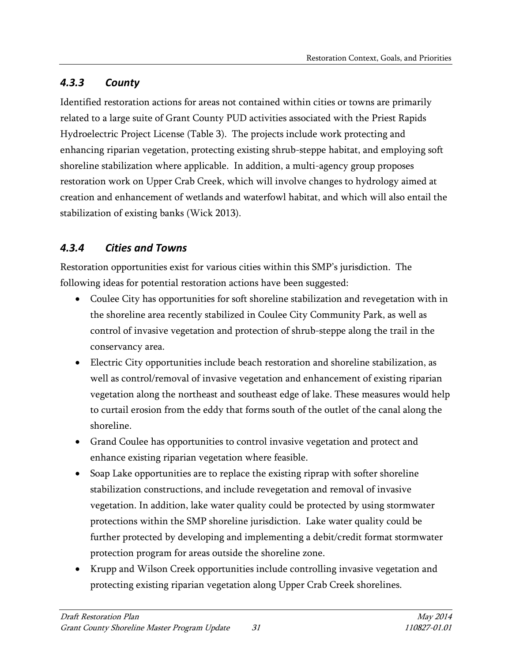# <span id="page-34-0"></span>*4.3.3 County*

Identified restoration actions for areas not contained within cities or towns are primarily related to a large suite of Grant County PUD activities associated with the Priest Rapids Hydroelectric Project License (Table 3). The projects include work protecting and enhancing riparian vegetation, protecting existing shrub-steppe habitat, and employing soft shoreline stabilization where applicable. In addition, a multi-agency group proposes restoration work on Upper Crab Creek, which will involve changes to hydrology aimed at creation and enhancement of wetlands and waterfowl habitat, and which will also entail the stabilization of existing banks (Wick 2013).

# <span id="page-34-1"></span>*4.3.4 Cities and Towns*

Restoration opportunities exist for various cities within this SMP's jurisdiction. The following ideas for potential restoration actions have been suggested:

- Coulee City has opportunities for soft shoreline stabilization and revegetation with in the shoreline area recently stabilized in Coulee City Community Park, as well as control of invasive vegetation and protection of shrub-steppe along the trail in the conservancy area.
- Electric City opportunities include beach restoration and shoreline stabilization, as well as control/removal of invasive vegetation and enhancement of existing riparian vegetation along the northeast and southeast edge of lake. These measures would help to curtail erosion from the eddy that forms south of the outlet of the canal along the shoreline.
- Grand Coulee has opportunities to control invasive vegetation and protect and enhance existing riparian vegetation where feasible.
- Soap Lake opportunities are to replace the existing riprap with softer shoreline stabilization constructions, and include revegetation and removal of invasive vegetation. In addition, lake water quality could be protected by using stormwater protections within the SMP shoreline jurisdiction. Lake water quality could be further protected by developing and implementing a debit/credit format stormwater protection program for areas outside the shoreline zone.
- Krupp and Wilson Creek opportunities include controlling invasive vegetation and protecting existing riparian vegetation along Upper Crab Creek shorelines.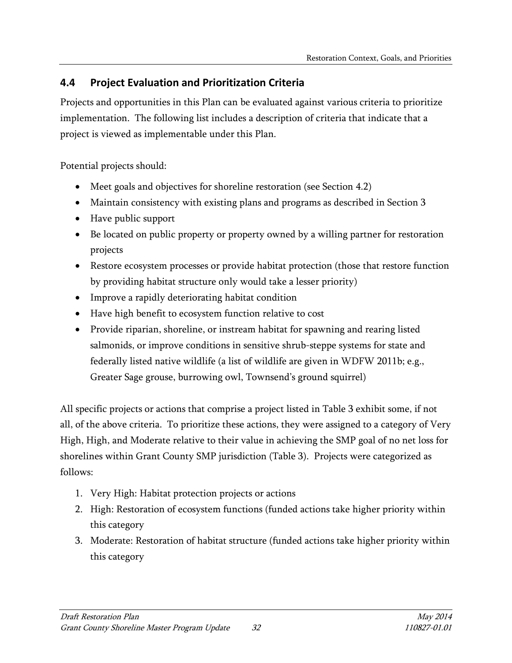## <span id="page-35-0"></span>**4.4 Project Evaluation and Prioritization Criteria**

Projects and opportunities in this Plan can be evaluated against various criteria to prioritize implementation. The following list includes a description of criteria that indicate that a project is viewed as implementable under this Plan.

Potential projects should:

- Meet goals and objectives for shoreline restoration (see Section 4.2)
- Maintain consistency with existing plans and programs as described in Section 3
- Have public support
- Be located on public property or property owned by a willing partner for restoration projects
- Restore ecosystem processes or provide habitat protection (those that restore function by providing habitat structure only would take a lesser priority)
- Improve a rapidly deteriorating habitat condition
- Have high benefit to ecosystem function relative to cost
- Provide riparian, shoreline, or instream habitat for spawning and rearing listed salmonids, or improve conditions in sensitive shrub-steppe systems for state and federally listed native wildlife (a list of wildlife are given in WDFW 2011b; e.g., Greater Sage grouse, burrowing owl, Townsend's ground squirrel)

All specific projects or actions that comprise a project listed in Table 3 exhibit some, if not all, of the above criteria. To prioritize these actions, they were assigned to a category of Very High, High, and Moderate relative to their value in achieving the SMP goal of no net loss for shorelines within Grant County SMP jurisdiction (Table 3). Projects were categorized as follows:

- 1. Very High: Habitat protection projects or actions
- 2. High: Restoration of ecosystem functions (funded actions take higher priority within this category
- 3. Moderate: Restoration of habitat structure (funded actions take higher priority within this category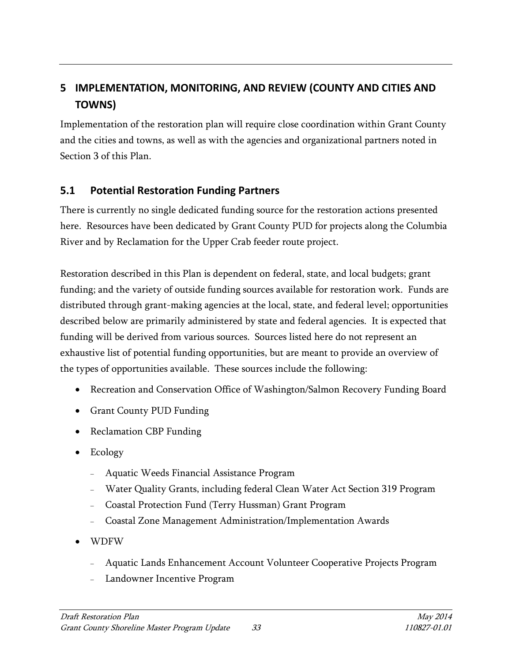# <span id="page-36-0"></span>**5 IMPLEMENTATION, MONITORING, AND REVIEW (COUNTY AND CITIES AND TOWNS)**

Implementation of the restoration plan will require close coordination within Grant County and the cities and towns, as well as with the agencies and organizational partners noted in Section 3 of this Plan.

#### <span id="page-36-1"></span>**5.1 Potential Restoration Funding Partners**

There is currently no single dedicated funding source for the restoration actions presented here. Resources have been dedicated by Grant County PUD for projects along the Columbia River and by Reclamation for the Upper Crab feeder route project.

Restoration described in this Plan is dependent on federal, state, and local budgets; grant funding; and the variety of outside funding sources available for restoration work. Funds are distributed through grant-making agencies at the local, state, and federal level; opportunities described below are primarily administered by state and federal agencies. It is expected that funding will be derived from various sources. Sources listed here do not represent an exhaustive list of potential funding opportunities, but are meant to provide an overview of the types of opportunities available. These sources include the following:

- Recreation and Conservation Office of Washington/Salmon Recovery Funding Board
- Grant County PUD Funding
- Reclamation CBP Funding
- Ecology
	- <sup>−</sup> Aquatic Weeds Financial Assistance Program
	- <sup>−</sup> Water Quality Grants, including federal Clean Water Act Section 319 Program
	- <sup>−</sup> Coastal Protection Fund (Terry Hussman) Grant Program
	- <sup>−</sup> Coastal Zone Management Administration/Implementation Awards
- WDFW
	- <sup>−</sup> Aquatic Lands Enhancement Account Volunteer Cooperative Projects Program
	- <sup>−</sup> Landowner Incentive Program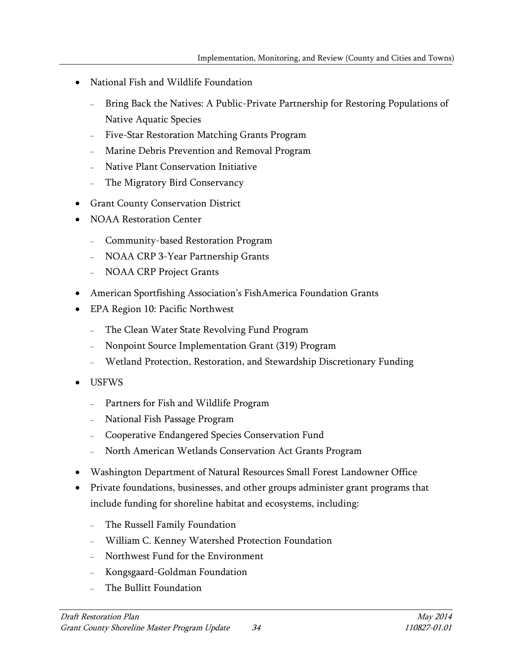- National Fish and Wildlife Foundation
	- Bring Back the Natives: A Public-Private Partnership for Restoring Populations of Native Aquatic Species
	- Five-Star Restoration Matching Grants Program
	- <sup>−</sup> Marine Debris Prevention and Removal Program
	- <sup>−</sup> Native Plant Conservation Initiative
	- The Migratory Bird Conservancy
- Grant County Conservation District
- NOAA Restoration Center
	- <sup>−</sup> Community-based Restoration Program
	- <sup>−</sup> NOAA CRP 3-Year Partnership Grants
	- <sup>−</sup> NOAA CRP Project Grants
- American Sportfishing Association's FishAmerica Foundation Grants
- EPA Region 10: Pacific Northwest
	- The Clean Water State Revolving Fund Program
	- <sup>−</sup> Nonpoint Source Implementation Grant (319) Program
	- <sup>−</sup> Wetland Protection, Restoration, and Stewardship Discretionary Funding
- USFWS
	- <sup>−</sup> Partners for Fish and Wildlife Program
	- <sup>−</sup> National Fish Passage Program
	- <sup>−</sup> Cooperative Endangered Species Conservation Fund
	- <sup>−</sup> North American Wetlands Conservation Act Grants Program
- Washington Department of Natural Resources Small Forest Landowner Office
- Private foundations, businesses, and other groups administer grant programs that include funding for shoreline habitat and ecosystems, including:
	- The Russell Family Foundation
	- <sup>−</sup> William C. Kenney Watershed Protection Foundation
	- <sup>−</sup> Northwest Fund for the Environment
	- <sup>−</sup> Kongsgaard-Goldman Foundation
	- The Bullitt Foundation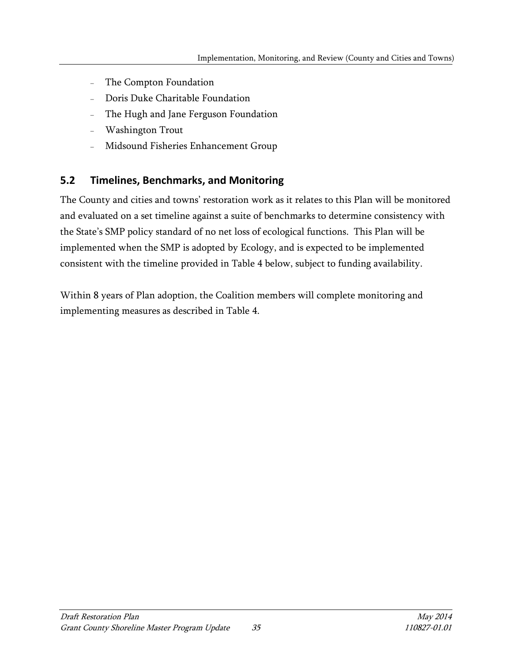- <sup>−</sup> The Compton Foundation
- <sup>−</sup> Doris Duke Charitable Foundation
- The Hugh and Jane Ferguson Foundation
- <sup>−</sup> Washington Trout
- <sup>−</sup> Midsound Fisheries Enhancement Group

#### <span id="page-38-0"></span>**5.2 Timelines, Benchmarks, and Monitoring**

The County and cities and towns' restoration work as it relates to this Plan will be monitored and evaluated on a set timeline against a suite of benchmarks to determine consistency with the State's SMP policy standard of no net loss of ecological functions. This Plan will be implemented when the SMP is adopted by Ecology, and is expected to be implemented consistent with the timeline provided in Table 4 below, subject to funding availability.

Within 8 years of Plan adoption, the Coalition members will complete monitoring and implementing measures as described in Table 4.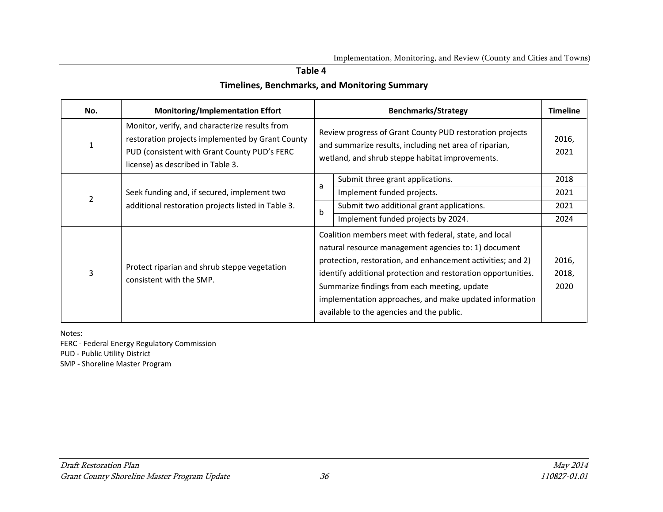#### <span id="page-39-0"></span>**Table 4**

#### **Timelines, Benchmarks, and Monitoring Summary**

| No.            | <b>Monitoring/Implementation Effort</b>                                                                                                                                                 |   | <b>Benchmarks/Strategy</b>                                                                                                                                                                                                                                                                                                                                                                            | <b>Timeline</b>        |
|----------------|-----------------------------------------------------------------------------------------------------------------------------------------------------------------------------------------|---|-------------------------------------------------------------------------------------------------------------------------------------------------------------------------------------------------------------------------------------------------------------------------------------------------------------------------------------------------------------------------------------------------------|------------------------|
| 1              | Monitor, verify, and characterize results from<br>restoration projects implemented by Grant County<br>PUD (consistent with Grant County PUD's FERC<br>license) as described in Table 3. |   | Review progress of Grant County PUD restoration projects<br>and summarize results, including net area of riparian,<br>wetland, and shrub steppe habitat improvements.                                                                                                                                                                                                                                 | 2016,<br>2021          |
|                |                                                                                                                                                                                         | a | Submit three grant applications.                                                                                                                                                                                                                                                                                                                                                                      | 2018                   |
| $\overline{2}$ | Seek funding and, if secured, implement two                                                                                                                                             |   | Implement funded projects.                                                                                                                                                                                                                                                                                                                                                                            | 2021                   |
|                | additional restoration projects listed in Table 3.                                                                                                                                      | b | Submit two additional grant applications.                                                                                                                                                                                                                                                                                                                                                             | 2021                   |
|                |                                                                                                                                                                                         |   | Implement funded projects by 2024.                                                                                                                                                                                                                                                                                                                                                                    | 2024                   |
| 3              | Protect riparian and shrub steppe vegetation<br>consistent with the SMP.                                                                                                                |   | Coalition members meet with federal, state, and local<br>natural resource management agencies to: 1) document<br>protection, restoration, and enhancement activities; and 2)<br>identify additional protection and restoration opportunities.<br>Summarize findings from each meeting, update<br>implementation approaches, and make updated information<br>available to the agencies and the public. | 2016,<br>2018,<br>2020 |

Notes:

FERC - Federal Energy Regulatory Commission

PUD - Public Utility District

SMP - Shoreline Master Program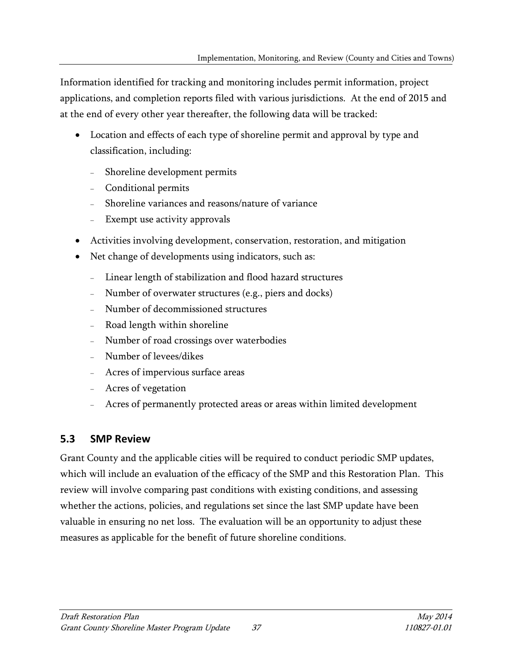Information identified for tracking and monitoring includes permit information, project applications, and completion reports filed with various jurisdictions. At the end of 2015 and at the end of every other year thereafter, the following data will be tracked:

- Location and effects of each type of shoreline permit and approval by type and classification, including:
	- <sup>−</sup> Shoreline development permits
	- <sup>−</sup> Conditional permits
	- <sup>−</sup> Shoreline variances and reasons/nature of variance
	- Exempt use activity approvals
- Activities involving development, conservation, restoration, and mitigation
- Net change of developments using indicators, such as:
	- <sup>−</sup> Linear length of stabilization and flood hazard structures
	- Number of overwater structures (e.g., piers and docks)
	- <sup>−</sup> Number of decommissioned structures
	- Road length within shoreline
	- <sup>−</sup> Number of road crossings over waterbodies
	- <sup>−</sup> Number of levees/dikes
	- <sup>−</sup> Acres of impervious surface areas
	- <sup>−</sup> Acres of vegetation
	- Acres of permanently protected areas or areas within limited development

## <span id="page-40-0"></span>**5.3 SMP Review**

Grant County and the applicable cities will be required to conduct periodic SMP updates, which will include an evaluation of the efficacy of the SMP and this Restoration Plan. This review will involve comparing past conditions with existing conditions, and assessing whether the actions, policies, and regulations set since the last SMP update have been valuable in ensuring no net loss. The evaluation will be an opportunity to adjust these measures as applicable for the benefit of future shoreline conditions.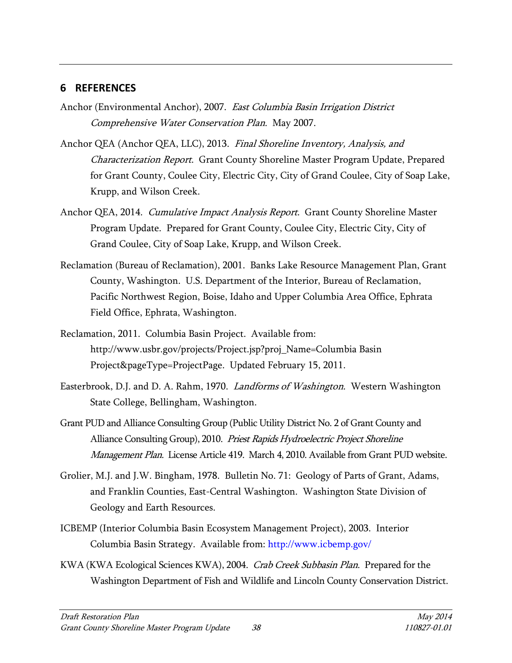#### <span id="page-41-0"></span>**6 REFERENCES**

- Anchor (Environmental Anchor), 2007. East Columbia Basin Irrigation District Comprehensive Water Conservation Plan. May 2007.
- Anchor QEA (Anchor QEA, LLC), 2013. Final Shoreline Inventory, Analysis, and Characterization Report. Grant County Shoreline Master Program Update, Prepared for Grant County, Coulee City, Electric City, City of Grand Coulee, City of Soap Lake, Krupp, and Wilson Creek.
- Anchor QEA, 2014. Cumulative Impact Analysis Report. Grant County Shoreline Master Program Update. Prepared for Grant County, Coulee City, Electric City, City of Grand Coulee, City of Soap Lake, Krupp, and Wilson Creek.
- Reclamation (Bureau of Reclamation), 2001. Banks Lake Resource Management Plan, Grant County, Washington. U.S. Department of the Interior, Bureau of Reclamation, Pacific Northwest Region, Boise, Idaho and Upper Columbia Area Office, Ephrata Field Office, Ephrata, Washington.
- Reclamation, 2011. Columbia Basin Project. Available from: http://www.usbr.gov/projects/Project.jsp?proj\_Name=Columbia Basin Project&pageType=ProjectPage. Updated February 15, 2011.
- Easterbrook, D.J. and D. A. Rahm, 1970. Landforms of Washington. Western Washington State College, Bellingham, Washington.
- Grant PUD and Alliance Consulting Group (Public Utility District No. 2 of Grant County and Alliance Consulting Group), 2010. Priest Rapids Hydroelectric Project Shoreline Management Plan. License Article 419. March 4, 2010. Available from Grant PUD website.
- Grolier, M.J. and J.W. Bingham, 1978. Bulletin No. 71: Geology of Parts of Grant, Adams, and Franklin Counties, East-Central Washington. Washington State Division of Geology and Earth Resources.
- ICBEMP (Interior Columbia Basin Ecosystem Management Project), 2003. Interior Columbia Basin Strategy. Available from:<http://www.icbemp.gov/>
- KWA (KWA Ecological Sciences KWA), 2004. Crab Creek Subbasin Plan. Prepared for the Washington Department of Fish and Wildlife and Lincoln County Conservation District.